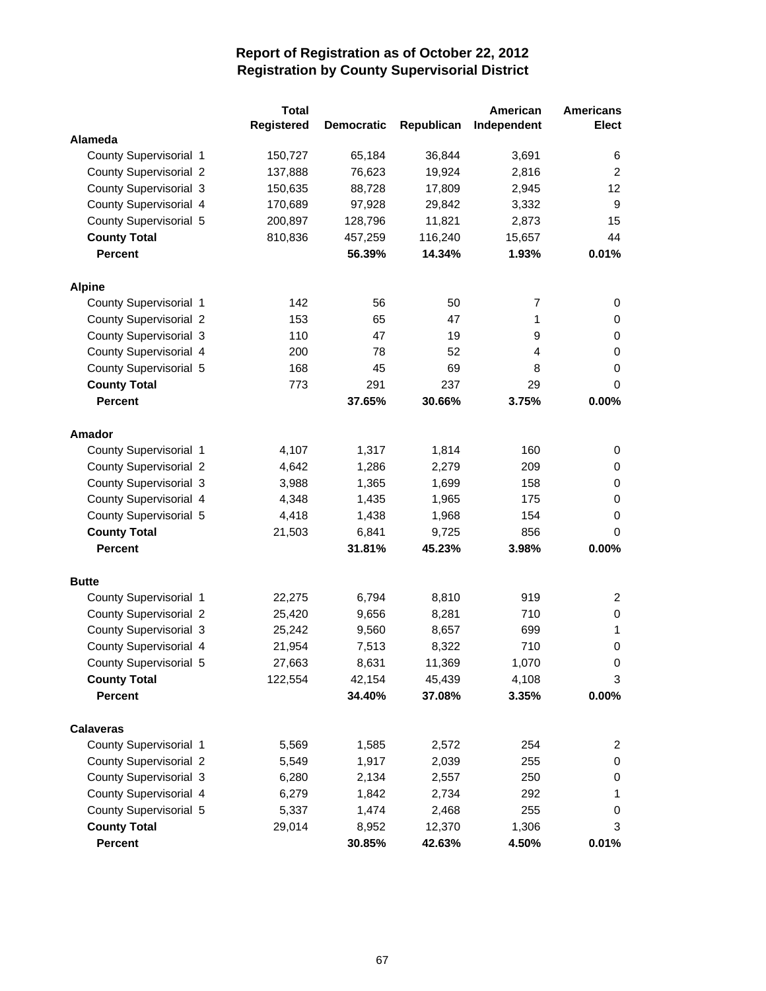|                               | <b>Total</b>      |                   |            | American    | <b>Americans</b> |
|-------------------------------|-------------------|-------------------|------------|-------------|------------------|
|                               | <b>Registered</b> | <b>Democratic</b> | Republican | Independent | <b>Elect</b>     |
| Alameda                       |                   |                   |            |             |                  |
| County Supervisorial 1        | 150,727           | 65,184            | 36,844     | 3,691       | 6                |
| <b>County Supervisorial 2</b> | 137,888           | 76,623            | 19,924     | 2,816       | $\overline{2}$   |
| County Supervisorial 3        | 150,635           | 88,728            | 17,809     | 2,945       | 12 <sup>2</sup>  |
| County Supervisorial 4        | 170,689           | 97,928            | 29,842     | 3,332       | 9                |
| County Supervisorial 5        | 200,897           | 128,796           | 11,821     | 2,873       | 15               |
| <b>County Total</b>           | 810,836           | 457,259           | 116,240    | 15,657      | 44               |
| Percent                       |                   | 56.39%            | 14.34%     | 1.93%       | 0.01%            |
| <b>Alpine</b>                 |                   |                   |            |             |                  |
| County Supervisorial 1        | 142               | 56                | 50         | 7           | 0                |
| <b>County Supervisorial 2</b> | 153               | 65                | 47         | 1           | 0                |
| County Supervisorial 3        | 110               | 47                | 19         | 9           | 0                |
| County Supervisorial 4        | 200               | 78                | 52         | 4           | 0                |
| County Supervisorial 5        | 168               | 45                | 69         | 8           | 0                |
| <b>County Total</b>           | 773               | 291               | 237        | 29          | 0                |
| <b>Percent</b>                |                   | 37.65%            | 30.66%     | 3.75%       | 0.00%            |
| Amador                        |                   |                   |            |             |                  |
| County Supervisorial 1        | 4,107             | 1,317             | 1,814      | 160         | 0                |
| <b>County Supervisorial 2</b> | 4,642             | 1,286             | 2,279      | 209         | 0                |
| County Supervisorial 3        | 3,988             | 1,365             | 1,699      | 158         | 0                |
| County Supervisorial 4        | 4,348             | 1,435             | 1,965      | 175         | 0                |
| County Supervisorial 5        | 4,418             | 1,438             | 1,968      | 154         | 0                |
| <b>County Total</b>           | 21,503            | 6,841             | 9,725      | 856         | 0                |
| <b>Percent</b>                |                   | 31.81%            | 45.23%     | 3.98%       | 0.00%            |
| <b>Butte</b>                  |                   |                   |            |             |                  |
| County Supervisorial 1        | 22,275            | 6,794             | 8,810      | 919         | $\overline{2}$   |
| County Supervisorial 2        | 25,420            | 9,656             | 8,281      | 710         | 0                |
| County Supervisorial 3        | 25,242            | 9,560             | 8,657      | 699         | 1                |
| County Supervisorial 4        | 21,954            | 7,513             | 8,322      | 710         | 0                |
| County Supervisorial 5        | 27,663            | 8,631             | 11,369     | 1,070       | 0                |
| <b>County Total</b>           | 122,554           | 42,154            | 45,439     | 4,108       | 3                |
| <b>Percent</b>                |                   | 34.40%            | 37.08%     | 3.35%       | 0.00%            |
| <b>Calaveras</b>              |                   |                   |            |             |                  |
| County Supervisorial 1        | 5,569             | 1,585             | 2,572      | 254         | $\overline{2}$   |
| County Supervisorial 2        | 5,549             | 1,917             | 2,039      | 255         | 0                |
| County Supervisorial 3        | 6,280             | 2,134             | 2,557      | 250         | 0                |
| County Supervisorial 4        | 6,279             | 1,842             | 2,734      | 292         | 1                |
| County Supervisorial 5        | 5,337             | 1,474             | 2,468      | 255         | 0                |
| <b>County Total</b>           | 29,014            | 8,952             | 12,370     | 1,306       | 3                |
| Percent                       |                   | 30.85%            | 42.63%     | 4.50%       | 0.01%            |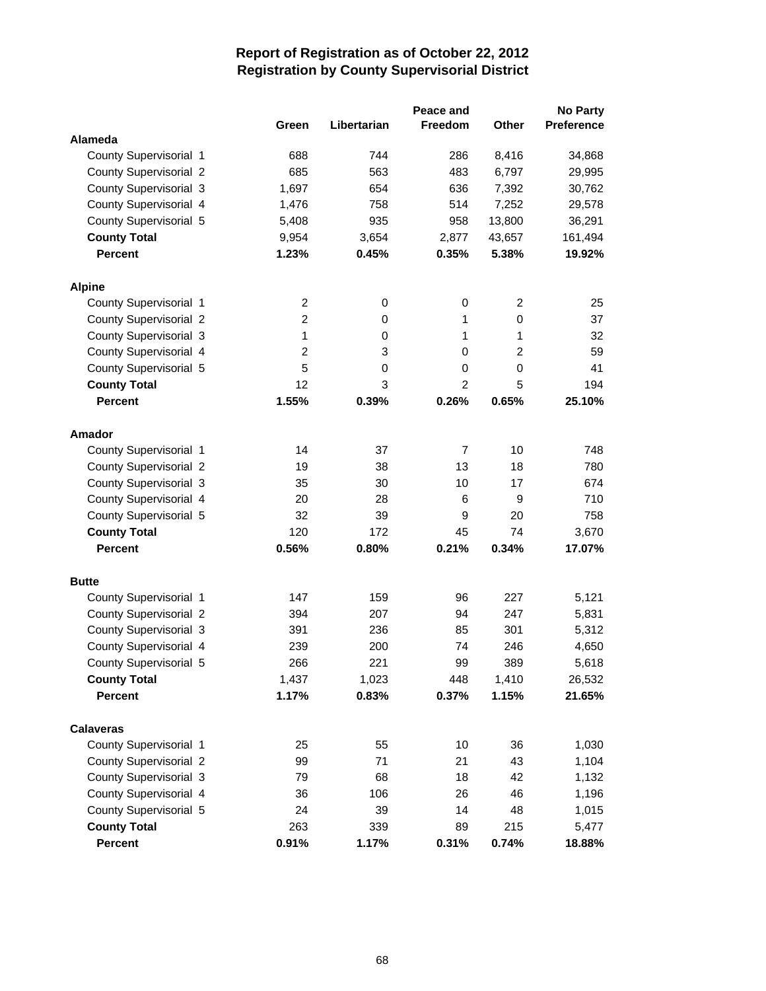|                               |                |             | Peace and      |              | <b>No Party</b>   |
|-------------------------------|----------------|-------------|----------------|--------------|-------------------|
|                               | Green          | Libertarian | Freedom        | <b>Other</b> | <b>Preference</b> |
| Alameda                       |                |             |                |              |                   |
| County Supervisorial 1        | 688            | 744         | 286            | 8,416        | 34,868            |
| County Supervisorial 2        | 685            | 563         | 483            | 6,797        | 29,995            |
| County Supervisorial 3        | 1,697          | 654         | 636            | 7,392        | 30,762            |
| County Supervisorial 4        | 1,476          | 758         | 514            | 7,252        | 29,578            |
| County Supervisorial 5        | 5,408          | 935         | 958            | 13,800       | 36,291            |
| <b>County Total</b>           | 9,954          | 3,654       | 2,877          | 43,657       | 161,494           |
| <b>Percent</b>                | 1.23%          | 0.45%       | 0.35%          | 5.38%        | 19.92%            |
| <b>Alpine</b>                 |                |             |                |              |                   |
| County Supervisorial 1        | 2              | 0           | 0              | 2            | 25                |
| <b>County Supervisorial 2</b> | $\overline{2}$ | 0           | 1              | 0            | 37                |
| County Supervisorial 3        | 1              | 0           | $\mathbf{1}$   | 1            | 32                |
| County Supervisorial 4        | 2              | 3           | 0              | 2            | 59                |
| County Supervisorial 5        | 5              | 0           | $\mathbf 0$    | 0            | 41                |
| <b>County Total</b>           | 12             | 3           | 2              | 5            | 194               |
| <b>Percent</b>                | 1.55%          | 0.39%       | 0.26%          | 0.65%        | 25.10%            |
| Amador                        |                |             |                |              |                   |
| County Supervisorial 1        | 14             | 37          | $\overline{7}$ | 10           | 748               |
| <b>County Supervisorial 2</b> | 19             | 38          | 13             | 18           | 780               |
| County Supervisorial 3        | 35             | 30          | 10             | 17           | 674               |
| County Supervisorial 4        | 20             | 28          | 6              | 9            | 710               |
| County Supervisorial 5        | 32             | 39          | 9              | 20           | 758               |
| <b>County Total</b>           | 120            | 172         | 45             | 74           | 3,670             |
| <b>Percent</b>                | 0.56%          | 0.80%       | 0.21%          | 0.34%        | 17.07%            |
| <b>Butte</b>                  |                |             |                |              |                   |
| County Supervisorial 1        | 147            | 159         | 96             | 227          | 5,121             |
| County Supervisorial 2        | 394            | 207         | 94             | 247          | 5,831             |
| County Supervisorial 3        | 391            | 236         | 85             | 301          | 5,312             |
| County Supervisorial 4        | 239            | 200         | 74             | 246          | 4,650             |
| County Supervisorial 5        | 266            | 221         | 99             | 389          | 5,618             |
| <b>County Total</b>           | 1,437          | 1,023       | 448            | 1,410        | 26,532            |
| <b>Percent</b>                | 1.17%          | 0.83%       | 0.37%          | 1.15%        | 21.65%            |
| <b>Calaveras</b>              |                |             |                |              |                   |
| County Supervisorial 1        | 25             | 55          | 10             | 36           | 1,030             |
| <b>County Supervisorial 2</b> | 99             | 71          | 21             | 43           | 1,104             |
| County Supervisorial 3        | 79             | 68          | 18             | 42           | 1,132             |
| County Supervisorial 4        | 36             | 106         | 26             | 46           | 1,196             |
| County Supervisorial 5        | 24             | 39          | 14             | 48           | 1,015             |
| <b>County Total</b>           | 263            | 339         | 89             | 215          | 5,477             |
| Percent                       | 0.91%          | 1.17%       | 0.31%          | 0.74%        | 18.88%            |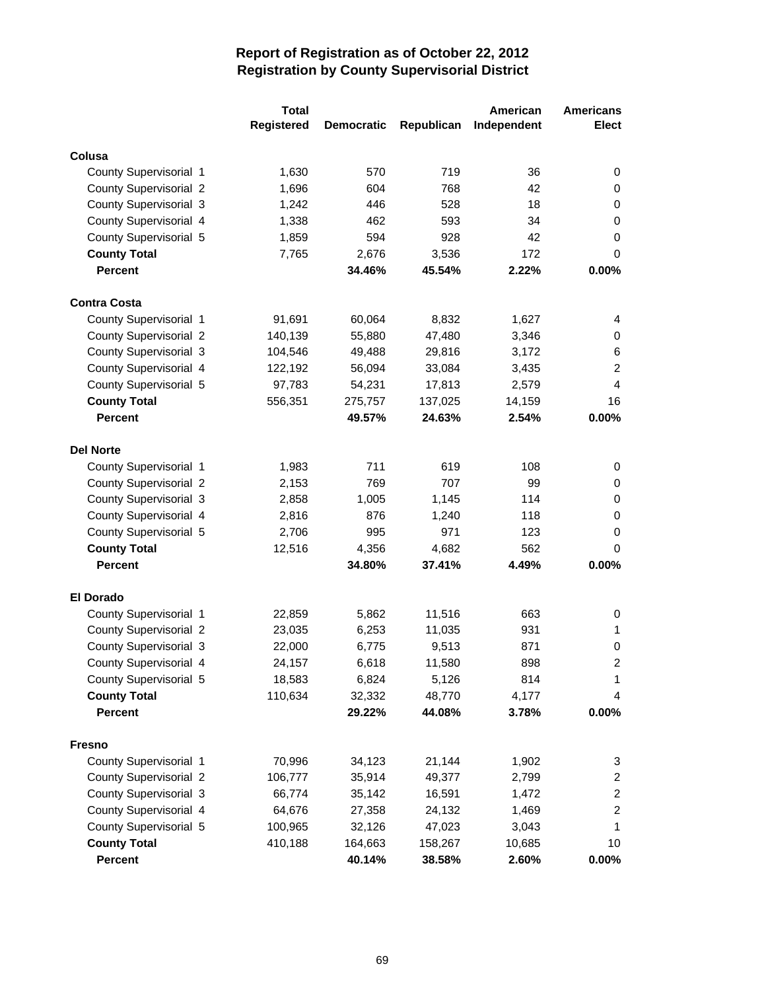|                                                  | <b>Total</b>       |                   |                   | American        | <b>Americans</b>                          |
|--------------------------------------------------|--------------------|-------------------|-------------------|-----------------|-------------------------------------------|
|                                                  | Registered         | <b>Democratic</b> | Republican        | Independent     | <b>Elect</b>                              |
| Colusa                                           |                    |                   |                   |                 |                                           |
| County Supervisorial 1                           | 1,630              | 570               | 719               | 36              | 0                                         |
| <b>County Supervisorial 2</b>                    | 1,696              | 604               | 768               | 42              | 0                                         |
| County Supervisorial 3                           | 1,242              | 446               | 528               | 18              | 0                                         |
| County Supervisorial 4                           | 1,338              | 462               | 593               | 34              | 0                                         |
| County Supervisorial 5                           | 1,859              | 594               | 928               | 42              | 0                                         |
| <b>County Total</b>                              | 7,765              | 2,676             | 3,536             | 172             | 0                                         |
| <b>Percent</b>                                   |                    | 34.46%            | 45.54%            | 2.22%           | 0.00%                                     |
|                                                  |                    |                   |                   |                 |                                           |
| <b>Contra Costa</b>                              |                    |                   |                   |                 |                                           |
| County Supervisorial 1                           | 91,691             | 60,064            | 8,832             | 1,627           | 4                                         |
| County Supervisorial 2                           | 140,139            | 55,880            | 47,480            | 3,346           | 0                                         |
| County Supervisorial 3                           | 104,546            | 49,488            | 29,816            | 3,172           | 6                                         |
| County Supervisorial 4                           | 122,192            | 56,094            | 33,084            | 3,435           | $\overline{c}$<br>4                       |
| County Supervisorial 5                           | 97,783             | 54,231            | 17,813            | 2,579           |                                           |
| <b>County Total</b>                              | 556,351            | 275,757           | 137,025           | 14,159          | 16                                        |
| <b>Percent</b>                                   |                    | 49.57%            | 24.63%            | 2.54%           | 0.00%                                     |
| <b>Del Norte</b>                                 |                    |                   |                   |                 |                                           |
| County Supervisorial 1                           | 1,983              | 711               | 619               | 108             | 0                                         |
| County Supervisorial 2                           | 2,153              | 769               | 707               | 99              | 0                                         |
| County Supervisorial 3                           | 2,858              | 1,005             | 1,145             | 114             | 0                                         |
| County Supervisorial 4                           | 2,816              | 876               | 1,240             | 118             | 0                                         |
| County Supervisorial 5                           | 2,706              | 995               | 971               | 123             | 0                                         |
| <b>County Total</b>                              | 12,516             | 4,356             | 4,682             | 562             | 0                                         |
| <b>Percent</b>                                   |                    | 34.80%            | 37.41%            | 4.49%           | 0.00%                                     |
| <b>El Dorado</b>                                 |                    |                   |                   |                 |                                           |
| County Supervisorial 1                           | 22,859             | 5,862             | 11,516            | 663             | 0                                         |
| <b>County Supervisorial 2</b>                    | 23,035             | 6,253             | 11,035            | 931             | 1                                         |
| County Supervisorial 3                           | 22,000             | 6,775             | 9,513             | 871             | 0                                         |
| County Supervisorial 4                           | 24,157             | 6,618             | 11,580            | 898             | $\mathcal{P}$                             |
| County Supervisorial 5                           | 18,583             | 6,824             | 5,126             | 814             | 1                                         |
| <b>County Total</b>                              | 110,634            | 32,332            | 48,770            | 4,177           | 4                                         |
| <b>Percent</b>                                   |                    | 29.22%            | 44.08%            | 3.78%           | $0.00\%$                                  |
| <b>Fresno</b>                                    |                    |                   |                   |                 |                                           |
|                                                  |                    |                   |                   |                 |                                           |
| County Supervisorial 1                           | 70,996             | 34,123            | 21,144            | 1,902<br>2,799  | 3                                         |
| County Supervisorial 2<br>County Supervisorial 3 | 106,777<br>66,774  | 35,914<br>35,142  | 49,377<br>16,591  | 1,472           | $\overline{2}$<br>$\overline{\mathbf{c}}$ |
| County Supervisorial 4                           | 64,676             | 27,358            | 24,132            | 1,469           | $\overline{c}$                            |
| County Supervisorial 5                           |                    |                   |                   |                 | 1                                         |
|                                                  | 100,965<br>410,188 | 32,126<br>164,663 | 47,023<br>158,267 | 3,043<br>10,685 | 10                                        |
| <b>County Total</b><br><b>Percent</b>            |                    | 40.14%            | 38.58%            | 2.60%           | $0.00\%$                                  |
|                                                  |                    |                   |                   |                 |                                           |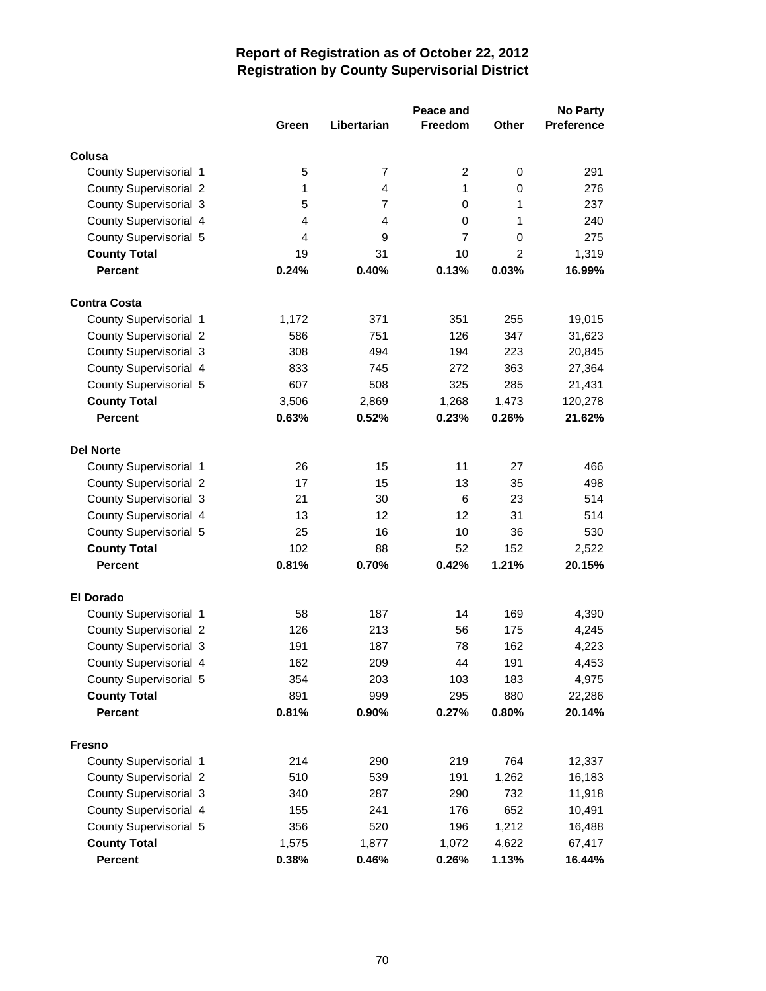|                                                         |                |                | Peace and      |                | <b>No Party</b> |
|---------------------------------------------------------|----------------|----------------|----------------|----------------|-----------------|
|                                                         | Green          | Libertarian    | Freedom        | <b>Other</b>   | Preference      |
| Colusa                                                  |                |                |                |                |                 |
| County Supervisorial 1                                  | 5              | $\overline{7}$ | $\overline{c}$ | 0              | 291             |
| <b>County Supervisorial 2</b>                           | 1              | $\overline{4}$ | 1              | $\mathbf 0$    | 276             |
| County Supervisorial 3                                  | 5              | $\overline{7}$ | 0              | 1              | 237             |
| County Supervisorial 4                                  | 4              | 4              | $\mathbf 0$    | 1              | 240             |
| County Supervisorial 5                                  | 4              | 9              | $\overline{7}$ | $\mathbf 0$    | 275             |
| <b>County Total</b>                                     | 19             | 31             | 10             | $\overline{2}$ | 1,319           |
| <b>Percent</b>                                          | 0.24%          | 0.40%          | 0.13%          | 0.03%          | 16.99%          |
| <b>Contra Costa</b>                                     |                |                |                |                |                 |
|                                                         |                | 371            | 351            | 255            |                 |
| County Supervisorial 1                                  | 1,172<br>586   | 751            | 126            | 347            | 19,015          |
| <b>County Supervisorial 2</b><br>County Supervisorial 3 |                |                |                |                | 31,623          |
|                                                         | 308            | 494            | 194            | 223<br>363     | 20,845          |
| County Supervisorial 4                                  | 833<br>607     | 745<br>508     | 272<br>325     | 285            | 27,364          |
| County Supervisorial 5                                  |                | 2,869          |                | 1,473          | 21,431          |
| <b>County Total</b><br><b>Percent</b>                   | 3,506<br>0.63% |                | 1,268<br>0.23% |                | 120,278         |
|                                                         |                | 0.52%          |                | 0.26%          | 21.62%          |
| <b>Del Norte</b>                                        |                |                |                |                |                 |
| County Supervisorial 1                                  | 26             | 15             | 11             | 27             | 466             |
| County Supervisorial 2                                  | 17             | 15             | 13             | 35             | 498             |
| <b>County Supervisorial 3</b>                           | 21             | 30             | 6              | 23             | 514             |
| County Supervisorial 4                                  | 13             | 12             | 12             | 31             | 514             |
| County Supervisorial 5                                  | 25             | 16             | 10             | 36             | 530             |
| <b>County Total</b>                                     | 102            | 88             | 52             | 152            | 2,522           |
| <b>Percent</b>                                          | 0.81%          | 0.70%          | 0.42%          | 1.21%          | 20.15%          |
| <b>El Dorado</b>                                        |                |                |                |                |                 |
| County Supervisorial 1                                  | 58             | 187            | 14             | 169            | 4,390           |
| <b>County Supervisorial 2</b>                           | 126            | 213            | 56             | 175            | 4,245           |
| County Supervisorial 3                                  | 191            | 187            | 78             | 162            | 4,223           |
| County Supervisorial 4                                  | 162            | 209            | 44             | 191            | 4,453           |
| County Supervisorial 5                                  | 354            | 203            | 103            | 183            | 4,975           |
| <b>County Total</b>                                     | 891            | 999            | 295            | 880            | 22,286          |
| Percent                                                 | 0.81%          | 0.90%          | 0.27%          | 0.80%          | 20.14%          |
| <b>Fresno</b>                                           |                |                |                |                |                 |
| County Supervisorial 1                                  | 214            | 290            | 219            | 764            | 12,337          |
| County Supervisorial 2                                  | 510            | 539            | 191            | 1,262          | 16,183          |
| County Supervisorial 3                                  | 340            | 287            | 290            | 732            | 11,918          |
| County Supervisorial 4                                  | 155            | 241            | 176            | 652            | 10,491          |
| County Supervisorial 5                                  | 356            | 520            | 196            | 1,212          | 16,488          |
| <b>County Total</b>                                     | 1,575          | 1,877          | 1,072          | 4,622          | 67,417          |
| Percent                                                 | 0.38%          | 0.46%          | 0.26%          | 1.13%          | 16.44%          |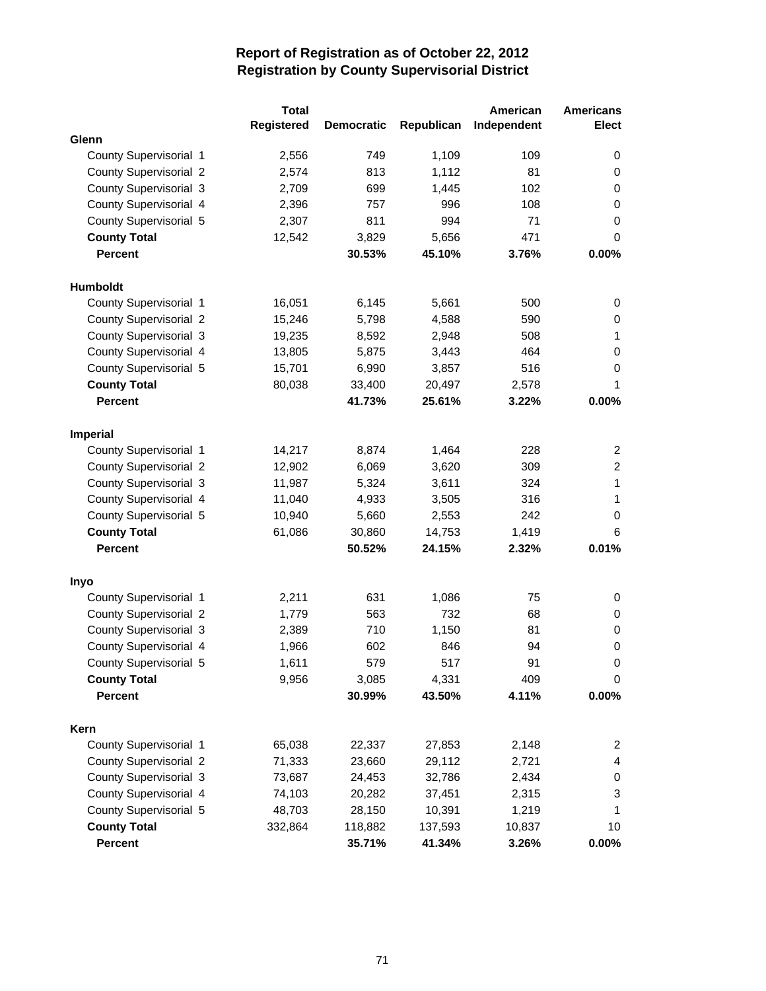|                               | <b>Total</b> |                   |            | American    | <b>Americans</b> |
|-------------------------------|--------------|-------------------|------------|-------------|------------------|
|                               | Registered   | <b>Democratic</b> | Republican | Independent | <b>Elect</b>     |
| Glenn                         |              |                   |            |             |                  |
| County Supervisorial 1        | 2,556        | 749               | 1,109      | 109         | 0                |
| <b>County Supervisorial 2</b> | 2,574        | 813               | 1,112      | 81          | 0                |
| County Supervisorial 3        | 2,709        | 699               | 1,445      | 102         | 0                |
| County Supervisorial 4        | 2,396        | 757               | 996        | 108         | 0                |
| County Supervisorial 5        | 2,307        | 811               | 994        | 71          | 0                |
| <b>County Total</b>           | 12,542       | 3,829             | 5,656      | 471         | 0                |
| <b>Percent</b>                |              | 30.53%            | 45.10%     | 3.76%       | 0.00%            |
| Humboldt                      |              |                   |            |             |                  |
| County Supervisorial 1        | 16,051       | 6,145             | 5,661      | 500         | 0                |
| <b>County Supervisorial 2</b> | 15,246       | 5,798             | 4,588      | 590         | 0                |
| County Supervisorial 3        | 19,235       | 8,592             | 2,948      | 508         | 1                |
| County Supervisorial 4        | 13,805       | 5,875             | 3,443      | 464         | 0                |
| County Supervisorial 5        | 15,701       | 6,990             | 3,857      | 516         | 0                |
| <b>County Total</b>           | 80,038       | 33,400            | 20,497     | 2,578       | 1                |
| <b>Percent</b>                |              | 41.73%            | 25.61%     | 3.22%       | 0.00%            |
| Imperial                      |              |                   |            |             |                  |
| County Supervisorial 1        | 14,217       | 8,874             | 1,464      | 228         | 2                |
| <b>County Supervisorial 2</b> | 12,902       | 6,069             | 3,620      | 309         | $\overline{2}$   |
| County Supervisorial 3        | 11,987       | 5,324             | 3,611      | 324         | 1                |
| County Supervisorial 4        | 11,040       | 4,933             | 3,505      | 316         | 1                |
| County Supervisorial 5        | 10,940       | 5,660             | 2,553      | 242         | 0                |
| <b>County Total</b>           | 61,086       | 30,860            | 14,753     | 1,419       | 6                |
| <b>Percent</b>                |              | 50.52%            | 24.15%     | 2.32%       | 0.01%            |
|                               |              |                   |            |             |                  |
| <b>Inyo</b>                   |              |                   |            |             |                  |
| County Supervisorial 1        | 2,211        | 631               | 1,086      | 75          | 0                |
| <b>County Supervisorial 2</b> | 1,779        | 563               | 732        | 68          | 0                |
| County Supervisorial 3        | 2,389        | 710               | 1,150      | 81          | 0                |
| County Supervisorial 4        | 1,966        | 602               | 846        | 94          | 0                |
| County Supervisorial 5        | 1,611        | 579               | 517        | 91          | 0                |
| <b>County Total</b>           | 9,956        | 3,085             | 4,331      | 409         | 0                |
| <b>Percent</b>                |              | 30.99%            | 43.50%     | 4.11%       | 0.00%            |
| Kern                          |              |                   |            |             |                  |
| County Supervisorial 1        | 65,038       | 22,337            | 27,853     | 2,148       | $\overline{2}$   |
| County Supervisorial 2        | 71,333       | 23,660            | 29,112     | 2,721       | 4                |
| County Supervisorial 3        | 73,687       | 24,453            | 32,786     | 2,434       | 0                |
| County Supervisorial 4        | 74,103       | 20,282            | 37,451     | 2,315       | 3                |
| County Supervisorial 5        | 48,703       | 28,150            | 10,391     | 1,219       | 1                |
| <b>County Total</b>           | 332,864      | 118,882           | 137,593    | 10,837      | 10               |
| Percent                       |              | 35.71%            | 41.34%     | 3.26%       | $0.00\%$         |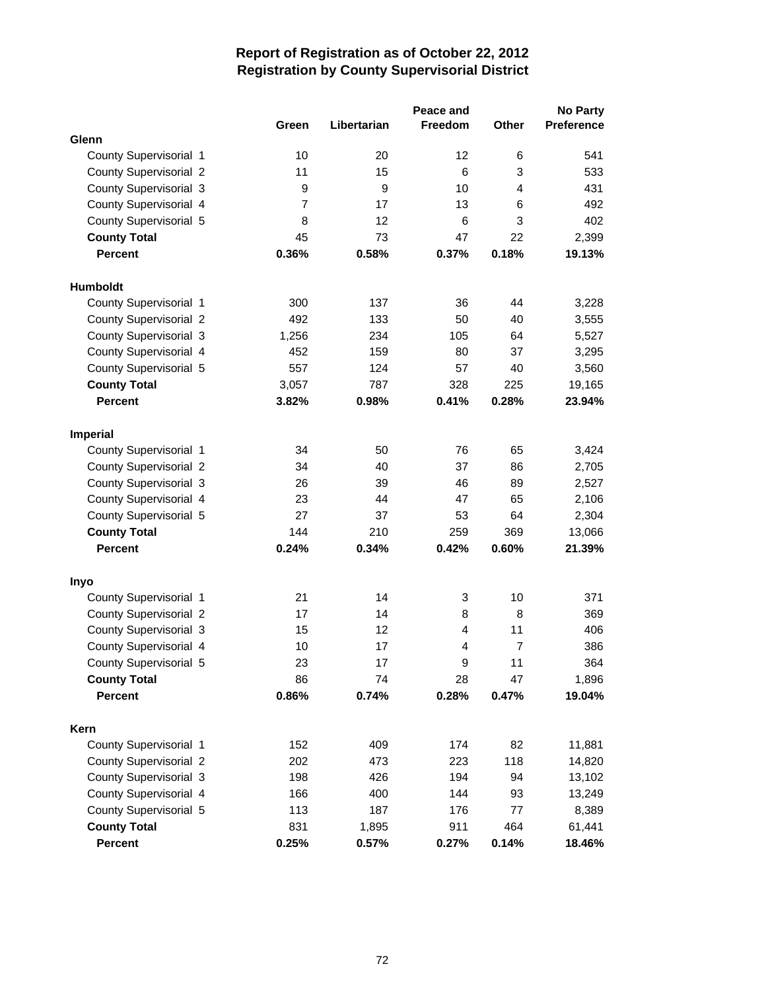|                               |       |             | Peace and      |                | No Party          |
|-------------------------------|-------|-------------|----------------|----------------|-------------------|
|                               | Green | Libertarian | Freedom        | Other          | <b>Preference</b> |
| Glenn                         |       |             |                |                |                   |
| County Supervisorial 1        | 10    | 20          | 12             | 6              | 541               |
| <b>County Supervisorial 2</b> | 11    | 15          | $\,6$          | 3              | 533               |
| County Supervisorial 3        | 9     | 9           | 10             | 4              | 431               |
| County Supervisorial 4        | 7     | 17          | 13             | 6              | 492               |
| County Supervisorial 5        | 8     | 12          | 6              | 3              | 402               |
| <b>County Total</b>           | 45    | 73          | 47             | 22             | 2,399             |
| <b>Percent</b>                | 0.36% | 0.58%       | 0.37%          | 0.18%          | 19.13%            |
| <b>Humboldt</b>               |       |             |                |                |                   |
| County Supervisorial 1        | 300   | 137         | 36             | 44             | 3,228             |
| <b>County Supervisorial 2</b> | 492   | 133         | 50             | 40             | 3,555             |
| <b>County Supervisorial 3</b> | 1,256 | 234         | 105            | 64             | 5,527             |
| County Supervisorial 4        | 452   | 159         | 80             | 37             | 3,295             |
| County Supervisorial 5        | 557   | 124         | 57             | 40             | 3,560             |
| <b>County Total</b>           | 3,057 | 787         | 328            | 225            | 19,165            |
| <b>Percent</b>                | 3.82% | 0.98%       | 0.41%          | 0.28%          | 23.94%            |
| Imperial                      |       |             |                |                |                   |
| County Supervisorial 1        | 34    | 50          | 76             | 65             | 3,424             |
| <b>County Supervisorial 2</b> | 34    | 40          | 37             | 86             | 2,705             |
| <b>County Supervisorial 3</b> | 26    | 39          | 46             | 89             | 2,527             |
| County Supervisorial 4        | 23    | 44          | 47             | 65             | 2,106             |
| County Supervisorial 5        | 27    | 37          | 53             | 64             | 2,304             |
| <b>County Total</b>           | 144   | 210         | 259            | 369            | 13,066            |
| <b>Percent</b>                | 0.24% | 0.34%       | 0.42%          | 0.60%          | 21.39%            |
| Inyo                          |       |             |                |                |                   |
| County Supervisorial 1        | 21    | 14          | 3              | 10             | 371               |
| <b>County Supervisorial 2</b> | 17    | 14          | 8              | 8              | 369               |
| County Supervisorial 3        | 15    | 12          | $\overline{4}$ | 11             | 406               |
| County Supervisorial 4        | 10    | 17          | $\overline{4}$ | $\overline{7}$ | 386               |
| County Supervisorial 5        | 23    | 17          | 9              | 11             | 364               |
| <b>County Total</b>           | 86    | 74          | 28             | 47             | 1,896             |
| Percent                       | 0.86% | 0.74%       | 0.28%          | 0.47%          | 19.04%            |
| Kern                          |       |             |                |                |                   |
| County Supervisorial 1        | 152   | 409         | 174            | 82             | 11,881            |
| <b>County Supervisorial 2</b> | 202   | 473         | 223            | 118            | 14,820            |
| County Supervisorial 3        | 198   | 426         | 194            | 94             | 13,102            |
| County Supervisorial 4        | 166   | 400         | 144            | 93             | 13,249            |
| County Supervisorial 5        | 113   | 187         | 176            | 77             | 8,389             |
| <b>County Total</b>           | 831   | 1,895       | 911            | 464            | 61,441            |
| Percent                       | 0.25% | 0.57%       | 0.27%          | 0.14%          | 18.46%            |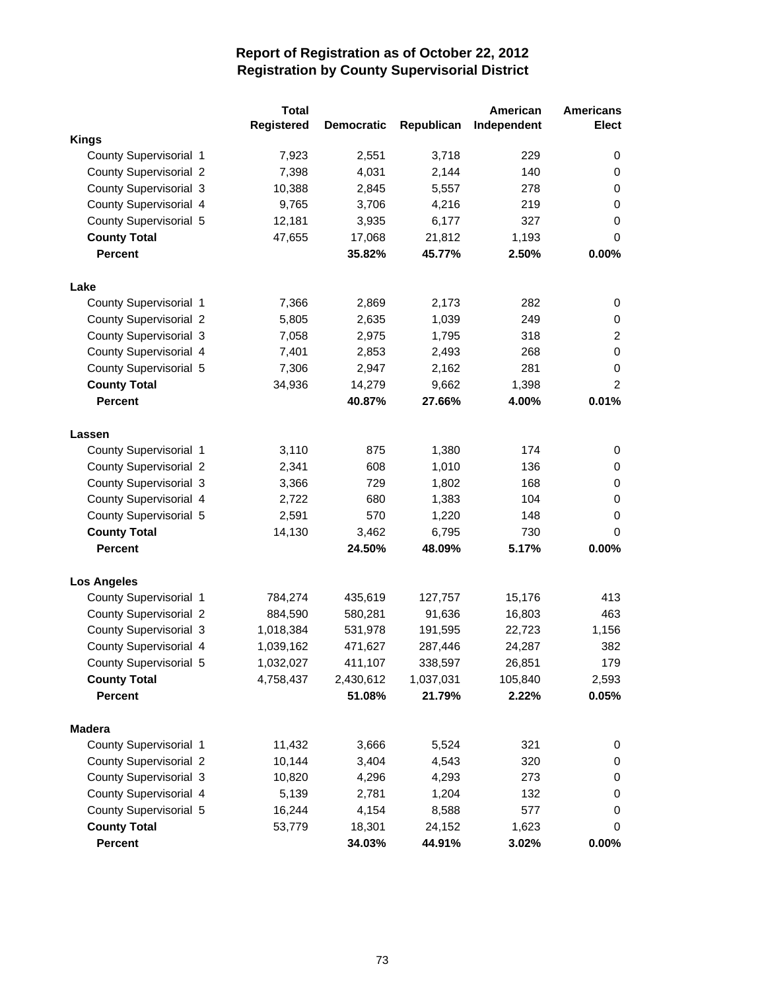|                               | <b>Total</b> |                   |            | American    | <b>Americans</b> |
|-------------------------------|--------------|-------------------|------------|-------------|------------------|
|                               | Registered   | <b>Democratic</b> | Republican | Independent | <b>Elect</b>     |
| <b>Kings</b>                  |              |                   |            |             |                  |
| County Supervisorial 1        | 7,923        | 2,551             | 3,718      | 229         | 0                |
| <b>County Supervisorial 2</b> | 7,398        | 4,031             | 2,144      | 140         | 0                |
| County Supervisorial 3        | 10,388       | 2,845             | 5,557      | 278         | 0                |
| County Supervisorial 4        | 9,765        | 3,706             | 4,216      | 219         | 0                |
| County Supervisorial 5        | 12,181       | 3,935             | 6,177      | 327         | 0                |
| <b>County Total</b>           | 47,655       | 17,068            | 21,812     | 1,193       | 0                |
| <b>Percent</b>                |              | 35.82%            | 45.77%     | 2.50%       | 0.00%            |
| Lake                          |              |                   |            |             |                  |
| County Supervisorial 1        | 7,366        | 2,869             | 2,173      | 282         | 0                |
| <b>County Supervisorial 2</b> | 5,805        | 2,635             | 1,039      | 249         | 0                |
| County Supervisorial 3        | 7,058        | 2,975             | 1,795      | 318         | $\overline{2}$   |
| County Supervisorial 4        | 7,401        | 2,853             | 2,493      | 268         | 0                |
| County Supervisorial 5        | 7,306        | 2,947             | 2,162      | 281         | 0                |
| <b>County Total</b>           | 34,936       | 14,279            | 9,662      | 1,398       | $\overline{2}$   |
| <b>Percent</b>                |              | 40.87%            | 27.66%     | 4.00%       | 0.01%            |
| Lassen                        |              |                   |            |             |                  |
| County Supervisorial 1        | 3,110        | 875               | 1,380      | 174         | 0                |
| County Supervisorial 2        | 2,341        | 608               | 1,010      | 136         | 0                |
| County Supervisorial 3        | 3,366        | 729               | 1,802      | 168         | 0                |
| County Supervisorial 4        | 2,722        | 680               | 1,383      | 104         | 0                |
| County Supervisorial 5        | 2,591        | 570               | 1,220      | 148         | 0                |
| <b>County Total</b>           | 14,130       | 3,462             | 6,795      | 730         | 0                |
| <b>Percent</b>                |              | 24.50%            | 48.09%     | 5.17%       | 0.00%            |
| <b>Los Angeles</b>            |              |                   |            |             |                  |
| County Supervisorial 1        | 784,274      | 435,619           | 127,757    | 15,176      | 413              |
| <b>County Supervisorial 2</b> | 884,590      | 580,281           | 91,636     | 16,803      | 463              |
| County Supervisorial 3        | 1,018,384    | 531,978           | 191,595    | 22,723      | 1,156            |
| County Supervisorial 4        | 1,039,162    | 471,627           | 287,446    | 24,287      | 382              |
| County Supervisorial 5        | 1,032,027    | 411,107           | 338,597    | 26,851      | 179              |
| <b>County Total</b>           | 4,758,437    | 2,430,612         | 1,037,031  | 105,840     | 2,593            |
| Percent                       |              | 51.08%            | 21.79%     | 2.22%       | 0.05%            |
| <b>Madera</b>                 |              |                   |            |             |                  |
| County Supervisorial 1        | 11,432       | 3,666             | 5,524      | 321         | 0                |
| County Supervisorial 2        | 10,144       | 3,404             | 4,543      | 320         | 0                |
| County Supervisorial 3        | 10,820       | 4,296             | 4,293      | 273         | 0                |
| County Supervisorial 4        | 5,139        | 2,781             | 1,204      | 132         | 0                |
| County Supervisorial 5        | 16,244       | 4,154             | 8,588      | 577         | 0                |
| <b>County Total</b>           | 53,779       | 18,301            | 24,152     | 1,623       | 0                |
| Percent                       |              | 34.03%            | 44.91%     | 3.02%       | 0.00%            |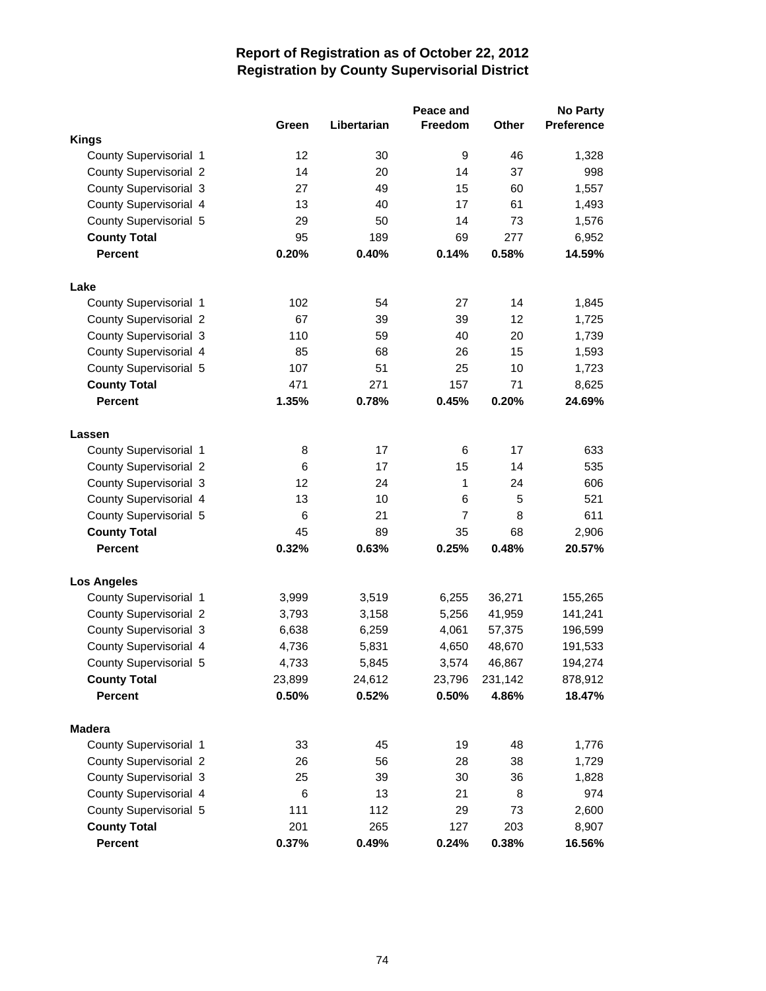|                               |        |             | Peace and      |         | <b>No Party</b> |
|-------------------------------|--------|-------------|----------------|---------|-----------------|
|                               | Green  | Libertarian | Freedom        | Other   | Preference      |
| <b>Kings</b>                  |        |             |                |         |                 |
| County Supervisorial 1        | 12     | 30          | 9              | 46      | 1,328           |
| <b>County Supervisorial 2</b> | 14     | 20          | 14             | 37      | 998             |
| County Supervisorial 3        | 27     | 49          | 15             | 60      | 1,557           |
| County Supervisorial 4        | 13     | 40          | 17             | 61      | 1,493           |
| County Supervisorial 5        | 29     | 50          | 14             | 73      | 1,576           |
| <b>County Total</b>           | 95     | 189         | 69             | 277     | 6,952           |
| <b>Percent</b>                | 0.20%  | 0.40%       | 0.14%          | 0.58%   | 14.59%          |
| Lake                          |        |             |                |         |                 |
| County Supervisorial 1        | 102    | 54          | 27             | 14      | 1,845           |
| <b>County Supervisorial 2</b> | 67     | 39          | 39             | 12      | 1,725           |
| <b>County Supervisorial 3</b> | 110    | 59          | 40             | 20      | 1,739           |
| County Supervisorial 4        | 85     | 68          | 26             | 15      | 1,593           |
| County Supervisorial 5        | 107    | 51          | 25             | 10      | 1,723           |
| <b>County Total</b>           | 471    | 271         | 157            | 71      | 8,625           |
| <b>Percent</b>                | 1.35%  | 0.78%       | 0.45%          | 0.20%   | 24.69%          |
| Lassen                        |        |             |                |         |                 |
| County Supervisorial 1        | 8      | 17          | 6              | 17      | 633             |
| County Supervisorial 2        | 6      | 17          | 15             | 14      | 535             |
| County Supervisorial 3        | 12     | 24          | 1              | 24      | 606             |
| County Supervisorial 4        | 13     | 10          | 6              | 5       | 521             |
| County Supervisorial 5        | 6      | 21          | $\overline{7}$ | 8       | 611             |
| <b>County Total</b>           | 45     | 89          | 35             | 68      | 2,906           |
| <b>Percent</b>                | 0.32%  | 0.63%       | 0.25%          | 0.48%   | 20.57%          |
| <b>Los Angeles</b>            |        |             |                |         |                 |
| County Supervisorial 1        | 3,999  | 3,519       | 6,255          | 36,271  | 155,265         |
| <b>County Supervisorial 2</b> | 3,793  | 3,158       | 5,256          | 41,959  | 141,241         |
| County Supervisorial 3        | 6,638  | 6,259       | 4,061          | 57,375  | 196,599         |
| County Supervisorial 4        | 4,736  | 5,831       | 4,650          | 48,670  | 191,533         |
| County Supervisorial 5        | 4,733  | 5,845       | 3,574          | 46,867  | 194,274         |
| <b>County Total</b>           | 23,899 | 24,612      | 23,796         | 231,142 | 878,912         |
| <b>Percent</b>                | 0.50%  | 0.52%       | 0.50%          | 4.86%   | 18.47%          |
| <b>Madera</b>                 |        |             |                |         |                 |
| County Supervisorial 1        | 33     | 45          | 19             | 48      | 1,776           |
| County Supervisorial 2        | 26     | 56          | 28             | 38      | 1,729           |
| County Supervisorial 3        | 25     | 39          | 30             | 36      | 1,828           |
| County Supervisorial 4        | 6      | 13          | 21             | 8       | 974             |
| County Supervisorial 5        | 111    | 112         | 29             | 73      | 2,600           |
| <b>County Total</b>           | 201    | 265         | 127            | 203     | 8,907           |
| Percent                       | 0.37%  | 0.49%       | 0.24%          | 0.38%   | 16.56%          |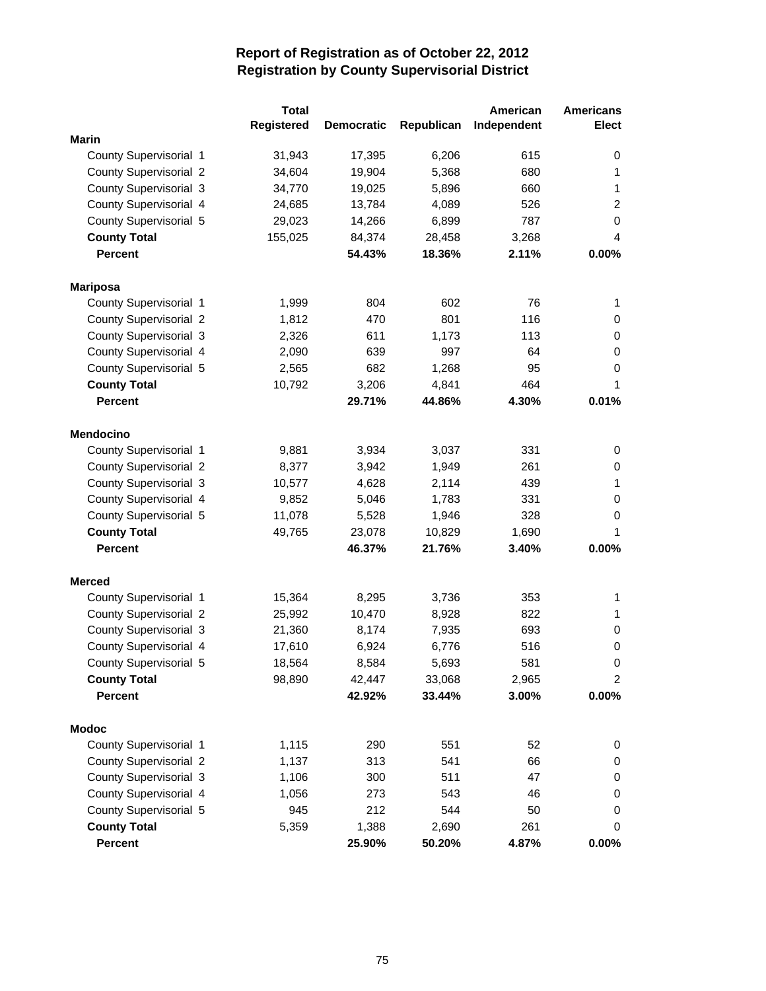|                               | <b>Total</b>      |                   |            | American    | <b>Americans</b> |
|-------------------------------|-------------------|-------------------|------------|-------------|------------------|
|                               | <b>Registered</b> | <b>Democratic</b> | Republican | Independent | <b>Elect</b>     |
| <b>Marin</b>                  |                   |                   |            |             |                  |
| County Supervisorial 1        | 31,943            | 17,395            | 6,206      | 615         | 0                |
| <b>County Supervisorial 2</b> | 34,604            | 19,904            | 5,368      | 680         | 1                |
| County Supervisorial 3        | 34,770            | 19,025            | 5,896      | 660         | 1                |
| County Supervisorial 4        | 24,685            | 13,784            | 4,089      | 526         | $\overline{c}$   |
| County Supervisorial 5        | 29,023            | 14,266            | 6,899      | 787         | 0                |
| <b>County Total</b>           | 155,025           | 84,374            | 28,458     | 3,268       | 4                |
| <b>Percent</b>                |                   | 54.43%            | 18.36%     | 2.11%       | 0.00%            |
| <b>Mariposa</b>               |                   |                   |            |             |                  |
| County Supervisorial 1        | 1,999             | 804               | 602        | 76          | 1                |
| <b>County Supervisorial 2</b> | 1,812             | 470               | 801        | 116         | 0                |
| County Supervisorial 3        | 2,326             | 611               | 1,173      | 113         | 0                |
| County Supervisorial 4        | 2,090             | 639               | 997        | 64          | 0                |
| County Supervisorial 5        | 2,565             | 682               | 1,268      | 95          | 0                |
| <b>County Total</b>           | 10,792            | 3,206             | 4,841      | 464         | 1                |
| <b>Percent</b>                |                   | 29.71%            | 44.86%     | 4.30%       | 0.01%            |
| <b>Mendocino</b>              |                   |                   |            |             |                  |
| County Supervisorial 1        | 9,881             | 3,934             | 3,037      | 331         | 0                |
| <b>County Supervisorial 2</b> | 8,377             | 3,942             | 1,949      | 261         | 0                |
| County Supervisorial 3        | 10,577            | 4,628             | 2,114      | 439         | 1                |
| County Supervisorial 4        | 9,852             | 5,046             | 1,783      | 331         | 0                |
| County Supervisorial 5        | 11,078            | 5,528             | 1,946      | 328         | 0                |
| <b>County Total</b>           | 49,765            | 23,078            | 10,829     | 1,690       | 1                |
| <b>Percent</b>                |                   | 46.37%            | 21.76%     | 3.40%       | 0.00%            |
| <b>Merced</b>                 |                   |                   |            |             |                  |
| County Supervisorial 1        | 15,364            | 8,295             | 3,736      | 353         | 1                |
| <b>County Supervisorial 2</b> | 25,992            | 10,470            | 8,928      | 822         | 1                |
| County Supervisorial 3        | 21,360            | 8,174             | 7,935      | 693         | 0                |
| County Supervisorial 4        | 17,610            | 6,924             | 6,776      | 516         | 0                |
| County Supervisorial 5        | 18,564            | 8,584             | 5,693      | 581         | 0                |
| <b>County Total</b>           | 98,890            | 42,447            | 33,068     | 2,965       | 2                |
| <b>Percent</b>                |                   | 42.92%            | 33.44%     | 3.00%       | $0.00\%$         |
| <b>Modoc</b>                  |                   |                   |            |             |                  |
| County Supervisorial 1        | 1,115             | 290               | 551        | 52          | 0                |
| County Supervisorial 2        | 1,137             | 313               | 541        | 66          | 0                |
| County Supervisorial 3        | 1,106             | 300               | 511        | 47          | 0                |
| County Supervisorial 4        | 1,056             | 273               | 543        | 46          | 0                |
| County Supervisorial 5        | 945               | 212               | 544        | 50          | 0                |
| <b>County Total</b>           | 5,359             | 1,388             | 2,690      | 261         | 0                |
| Percent                       |                   | 25.90%            | 50.20%     | 4.87%       | 0.00%            |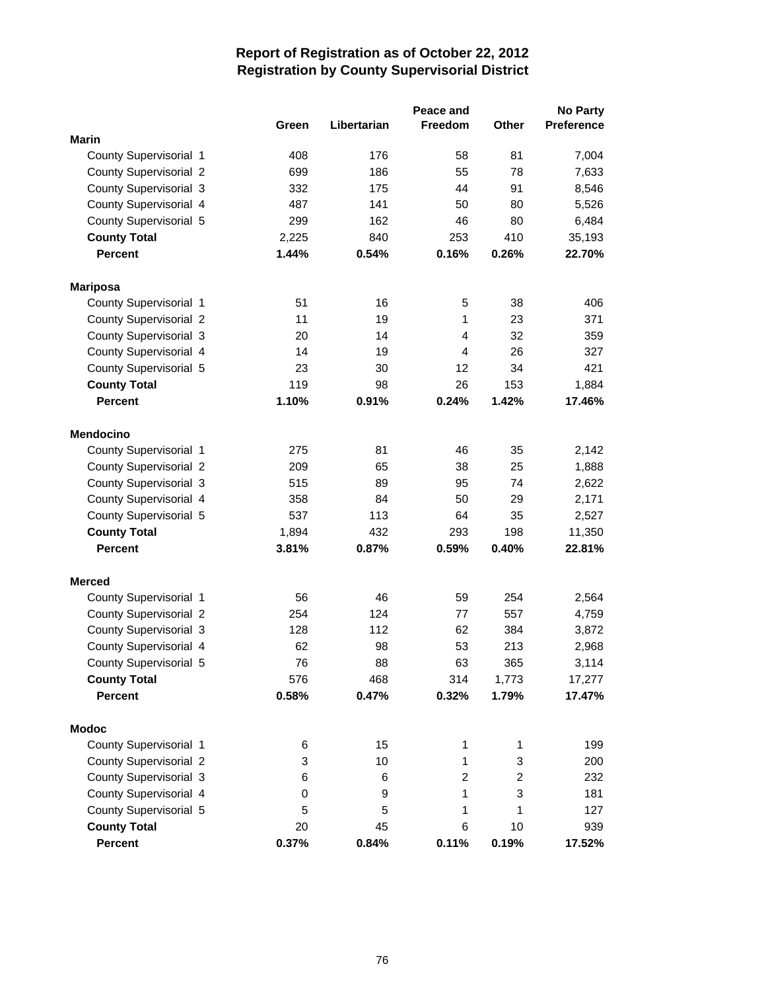|                               |       |             | Peace and      |                | <b>No Party</b>   |
|-------------------------------|-------|-------------|----------------|----------------|-------------------|
|                               | Green | Libertarian | Freedom        | Other          | <b>Preference</b> |
| <b>Marin</b>                  |       |             |                |                |                   |
| County Supervisorial 1        | 408   | 176         | 58             | 81             | 7,004             |
| County Supervisorial 2        | 699   | 186         | 55             | 78             | 7,633             |
| County Supervisorial 3        | 332   | 175         | 44             | 91             | 8,546             |
| County Supervisorial 4        | 487   | 141         | 50             | 80             | 5,526             |
| County Supervisorial 5        | 299   | 162         | 46             | 80             | 6,484             |
| <b>County Total</b>           | 2,225 | 840         | 253            | 410            | 35,193            |
| <b>Percent</b>                | 1.44% | 0.54%       | 0.16%          | 0.26%          | 22.70%            |
| <b>Mariposa</b>               |       |             |                |                |                   |
| County Supervisorial 1        | 51    | 16          | 5              | 38             | 406               |
| <b>County Supervisorial 2</b> | 11    | 19          | 1              | 23             | 371               |
| County Supervisorial 3        | 20    | 14          | $\overline{4}$ | 32             | 359               |
| County Supervisorial 4        | 14    | 19          | $\overline{4}$ | 26             | 327               |
| County Supervisorial 5        | 23    | 30          | 12             | 34             | 421               |
| <b>County Total</b>           | 119   | 98          | 26             | 153            | 1,884             |
| <b>Percent</b>                | 1.10% | 0.91%       | 0.24%          | 1.42%          | 17.46%            |
| <b>Mendocino</b>              |       |             |                |                |                   |
| County Supervisorial 1        | 275   | 81          | 46             | 35             | 2,142             |
| County Supervisorial 2        | 209   | 65          | 38             | 25             | 1,888             |
| County Supervisorial 3        | 515   | 89          | 95             | 74             | 2,622             |
| County Supervisorial 4        | 358   | 84          | 50             | 29             | 2,171             |
| County Supervisorial 5        | 537   | 113         | 64             | 35             | 2,527             |
| <b>County Total</b>           | 1,894 | 432         | 293            | 198            | 11,350            |
| <b>Percent</b>                | 3.81% | 0.87%       | 0.59%          | 0.40%          | 22.81%            |
| <b>Merced</b>                 |       |             |                |                |                   |
| County Supervisorial 1        | 56    | 46          | 59             | 254            | 2,564             |
| <b>County Supervisorial 2</b> | 254   | 124         | 77             | 557            | 4,759             |
| County Supervisorial 3        | 128   | 112         | 62             | 384            | 3,872             |
| County Supervisorial 4        | 62    | 98          | 53             | 213            | 2,968             |
| County Supervisorial 5        | 76    | 88          | 63             | 365            | 3,114             |
| <b>County Total</b>           | 576   | 468         | 314            | 1,773          | 17,277            |
| <b>Percent</b>                | 0.58% | 0.47%       | 0.32%          | 1.79%          | 17.47%            |
| <b>Modoc</b>                  |       |             |                |                |                   |
| County Supervisorial 1        | 6     | 15          | 1              | 1              | 199               |
| <b>County Supervisorial 2</b> | 3     | 10          | 1              | 3              | 200               |
| County Supervisorial 3        | 6     | 6           | $\overline{c}$ | $\overline{c}$ | 232               |
| County Supervisorial 4        | 0     | 9           | 1              | 3              | 181               |
| County Supervisorial 5        | 5     | 5           | 1              | 1              | 127               |
| <b>County Total</b>           | 20    | 45          | 6              | 10             | 939               |
| Percent                       | 0.37% | 0.84%       | 0.11%          | 0.19%          | 17.52%            |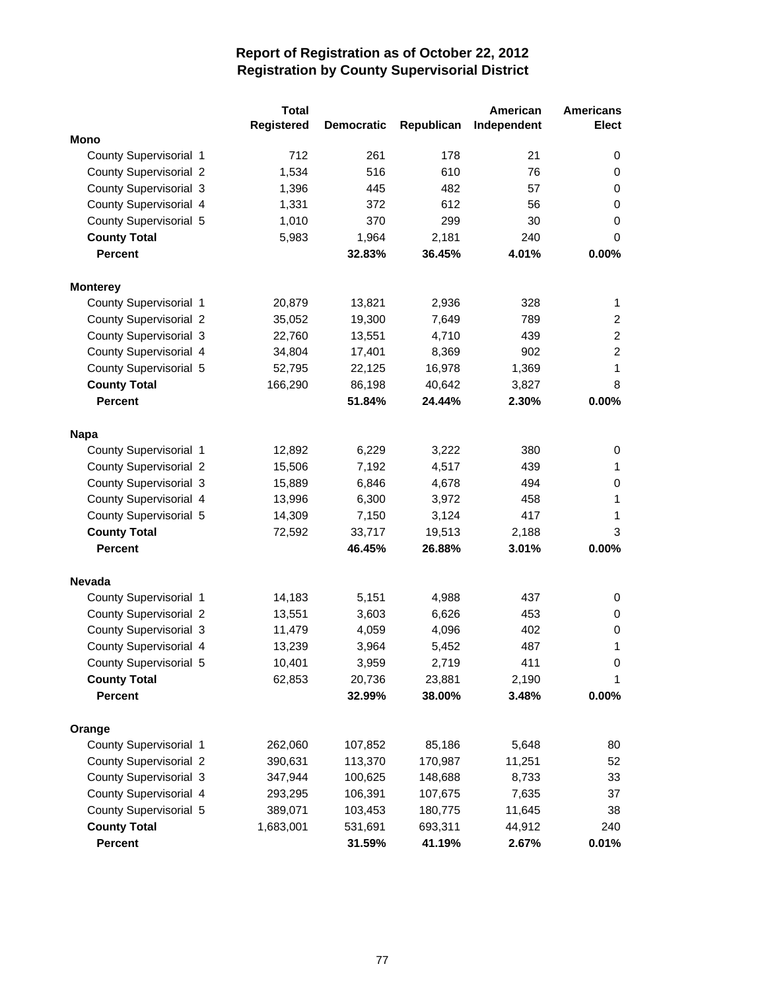|                               | <b>Total</b>      |                   |            | American    | <b>Americans</b> |
|-------------------------------|-------------------|-------------------|------------|-------------|------------------|
|                               | <b>Registered</b> | <b>Democratic</b> | Republican | Independent | <b>Elect</b>     |
| Mono                          |                   |                   |            |             |                  |
| County Supervisorial 1        | 712               | 261               | 178        | 21          | 0                |
| County Supervisorial 2        | 1,534             | 516               | 610        | 76          | 0                |
| County Supervisorial 3        | 1,396             | 445               | 482        | 57          | 0                |
| County Supervisorial 4        | 1,331             | 372               | 612        | 56          | 0                |
| County Supervisorial 5        | 1,010             | 370               | 299        | 30          | 0                |
| <b>County Total</b>           | 5,983             | 1,964             | 2,181      | 240         | 0                |
| <b>Percent</b>                |                   | 32.83%            | 36.45%     | 4.01%       | 0.00%            |
| <b>Monterey</b>               |                   |                   |            |             |                  |
| County Supervisorial 1        | 20,879            | 13,821            | 2,936      | 328         | 1                |
| County Supervisorial 2        | 35,052            | 19,300            | 7,649      | 789         | $\overline{2}$   |
| County Supervisorial 3        | 22,760            | 13,551            | 4,710      | 439         | $\overline{c}$   |
| County Supervisorial 4        | 34,804            | 17,401            | 8,369      | 902         | $\overline{2}$   |
| County Supervisorial 5        | 52,795            | 22,125            | 16,978     | 1,369       | 1                |
| <b>County Total</b>           | 166,290           | 86,198            | 40,642     | 3,827       | 8                |
| <b>Percent</b>                |                   | 51.84%            | 24.44%     | 2.30%       | 0.00%            |
| <b>Napa</b>                   |                   |                   |            |             |                  |
| County Supervisorial 1        | 12,892            | 6,229             | 3,222      | 380         | 0                |
| County Supervisorial 2        | 15,506            | 7,192             | 4,517      | 439         | 1                |
| County Supervisorial 3        | 15,889            | 6,846             | 4,678      | 494         | 0                |
| County Supervisorial 4        | 13,996            | 6,300             | 3,972      | 458         | 1                |
| County Supervisorial 5        | 14,309            | 7,150             | 3,124      | 417         | 1                |
| <b>County Total</b>           | 72,592            | 33,717            | 19,513     | 2,188       | 3                |
| <b>Percent</b>                |                   | 46.45%            | 26.88%     | 3.01%       | 0.00%            |
|                               |                   |                   |            |             |                  |
| <b>Nevada</b>                 |                   |                   |            |             |                  |
| County Supervisorial 1        | 14,183            | 5,151             | 4,988      | 437         | 0                |
| County Supervisorial 2        | 13,551            | 3,603             | 6,626      | 453         | 0                |
| County Supervisorial 3        | 11,479            | 4,059             | 4,096      | 402         | 0                |
| County Supervisorial 4        | 13,239            | 3,964             | 5,452      | 487         | 1                |
| County Supervisorial 5        | 10,401            | 3,959             | 2,719      | 411         | 0                |
| <b>County Total</b>           | 62,853            | 20,736            | 23,881     | 2,190       | 1                |
| <b>Percent</b>                |                   | 32.99%            | 38.00%     | 3.48%       | $0.00\%$         |
| Orange                        |                   |                   |            |             |                  |
| County Supervisorial 1        | 262,060           | 107,852           | 85,186     | 5,648       | 80               |
| <b>County Supervisorial 2</b> | 390,631           | 113,370           | 170,987    | 11,251      | 52               |
| County Supervisorial 3        | 347,944           | 100,625           | 148,688    | 8,733       | 33               |
| County Supervisorial 4        | 293,295           | 106,391           | 107,675    | 7,635       | 37               |
| County Supervisorial 5        | 389,071           | 103,453           | 180,775    | 11,645      | 38               |
| <b>County Total</b>           | 1,683,001         | 531,691           | 693,311    | 44,912      | 240              |
| Percent                       |                   | 31.59%            | 41.19%     | 2.67%       | 0.01%            |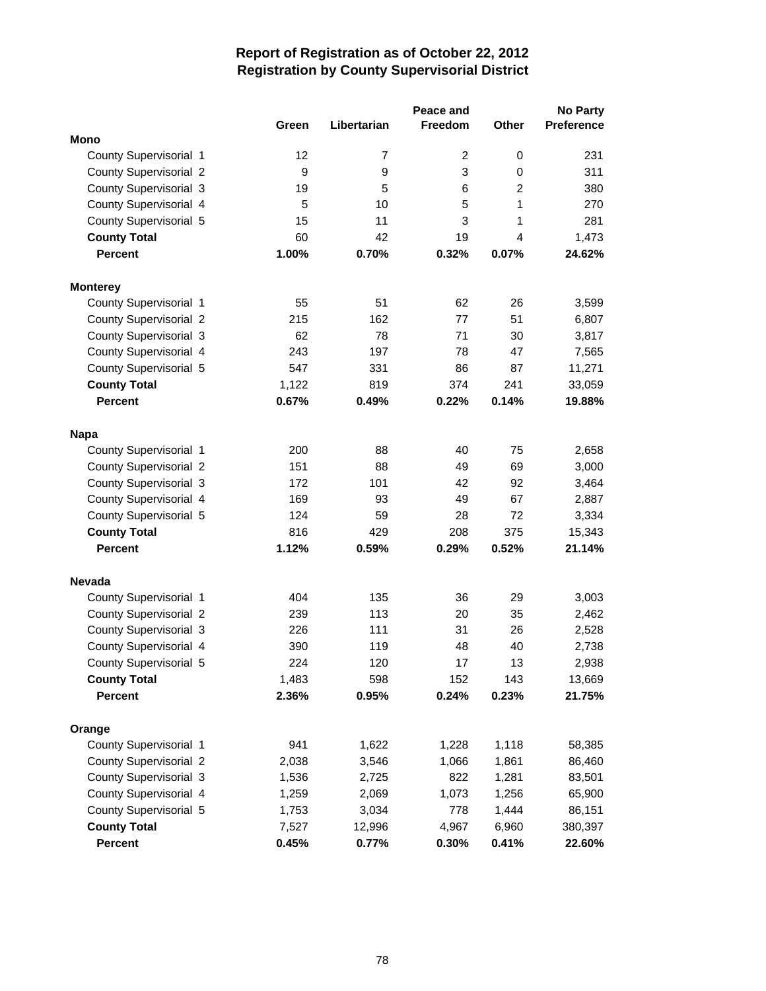|                               |       |                | Peace and |                | <b>No Party</b>   |
|-------------------------------|-------|----------------|-----------|----------------|-------------------|
|                               | Green | Libertarian    | Freedom   | <b>Other</b>   | <b>Preference</b> |
| <b>Mono</b>                   |       |                |           |                |                   |
| County Supervisorial 1        | 12    | $\overline{7}$ | 2         | 0              | 231               |
| <b>County Supervisorial 2</b> | 9     | 9              | 3         | 0              | 311               |
| County Supervisorial 3        | 19    | 5              | 6         | $\overline{2}$ | 380               |
| County Supervisorial 4        | 5     | 10             | 5         | 1              | 270               |
| County Supervisorial 5        | 15    | 11             | 3         | 1              | 281               |
| <b>County Total</b>           | 60    | 42             | 19        | 4              | 1,473             |
| <b>Percent</b>                | 1.00% | 0.70%          | 0.32%     | 0.07%          | 24.62%            |
| <b>Monterey</b>               |       |                |           |                |                   |
| County Supervisorial 1        | 55    | 51             | 62        | 26             | 3,599             |
| <b>County Supervisorial 2</b> | 215   | 162            | 77        | 51             | 6,807             |
| County Supervisorial 3        | 62    | 78             | 71        | 30             | 3,817             |
| County Supervisorial 4        | 243   | 197            | 78        | 47             | 7,565             |
| County Supervisorial 5        | 547   | 331            | 86        | 87             | 11,271            |
| <b>County Total</b>           | 1,122 | 819            | 374       | 241            | 33,059            |
| <b>Percent</b>                | 0.67% | 0.49%          | 0.22%     | 0.14%          | 19.88%            |
| <b>Napa</b>                   |       |                |           |                |                   |
| County Supervisorial 1        | 200   | 88             | 40        | 75             | 2,658             |
| <b>County Supervisorial 2</b> | 151   | 88             | 49        | 69             | 3,000             |
| County Supervisorial 3        | 172   | 101            | 42        | 92             | 3,464             |
| County Supervisorial 4        | 169   | 93             | 49        | 67             | 2,887             |
| County Supervisorial 5        | 124   | 59             | 28        | 72             | 3,334             |
| <b>County Total</b>           | 816   | 429            | 208       | 375            | 15,343            |
| <b>Percent</b>                | 1.12% | 0.59%          | 0.29%     | 0.52%          | 21.14%            |
| <b>Nevada</b>                 |       |                |           |                |                   |
| County Supervisorial 1        | 404   | 135            | 36        | 29             | 3,003             |
| <b>County Supervisorial 2</b> | 239   | 113            | 20        | 35             | 2,462             |
| County Supervisorial 3        | 226   | 111            | 31        | 26             | 2,528             |
| County Supervisorial 4        | 390   | 119            | 48        | 40             | 2,738             |
| County Supervisorial 5        | 224   | 120            | 17        | 13             | 2,938             |
| <b>County Total</b>           | 1,483 | 598            | 152       | 143            | 13,669            |
| <b>Percent</b>                | 2.36% | 0.95%          | 0.24%     | 0.23%          | 21.75%            |
| Orange                        |       |                |           |                |                   |
| County Supervisorial 1        | 941   | 1,622          | 1,228     | 1,118          | 58,385            |
| <b>County Supervisorial 2</b> | 2,038 | 3,546          | 1,066     | 1,861          | 86,460            |
| County Supervisorial 3        | 1,536 | 2,725          | 822       | 1,281          | 83,501            |
| County Supervisorial 4        | 1,259 | 2,069          | 1,073     | 1,256          | 65,900            |
| County Supervisorial 5        | 1,753 | 3,034          | 778       | 1,444          | 86,151            |
| <b>County Total</b>           | 7,527 | 12,996         | 4,967     | 6,960          | 380,397           |
| Percent                       | 0.45% | 0.77%          | 0.30%     | 0.41%          | 22.60%            |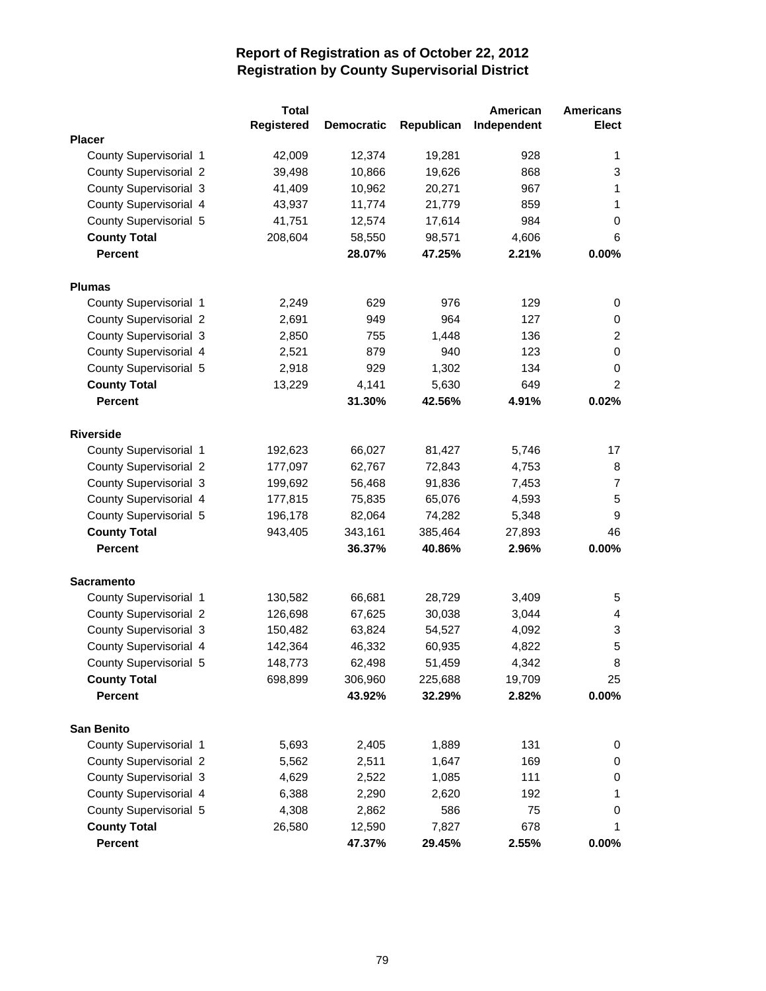|                               | <b>Total</b> |                   |            | American    | <b>Americans</b> |
|-------------------------------|--------------|-------------------|------------|-------------|------------------|
|                               | Registered   | <b>Democratic</b> | Republican | Independent | <b>Elect</b>     |
| <b>Placer</b>                 |              |                   |            |             |                  |
| County Supervisorial 1        | 42,009       | 12,374            | 19,281     | 928         | 1                |
| County Supervisorial 2        | 39,498       | 10,866            | 19,626     | 868         | 3                |
| County Supervisorial 3        | 41,409       | 10,962            | 20,271     | 967         | 1                |
| County Supervisorial 4        | 43,937       | 11,774            | 21,779     | 859         | 1                |
| County Supervisorial 5        | 41,751       | 12,574            | 17,614     | 984         | 0                |
| <b>County Total</b>           | 208,604      | 58,550            | 98,571     | 4,606       | 6                |
| <b>Percent</b>                |              | 28.07%            | 47.25%     | 2.21%       | 0.00%            |
| <b>Plumas</b>                 |              |                   |            |             |                  |
| County Supervisorial 1        | 2,249        | 629               | 976        | 129         | 0                |
| County Supervisorial 2        | 2,691        | 949               | 964        | 127         | 0                |
| County Supervisorial 3        | 2,850        | 755               | 1,448      | 136         | $\overline{2}$   |
| County Supervisorial 4        | 2,521        | 879               | 940        | 123         | 0                |
| County Supervisorial 5        | 2,918        | 929               | 1,302      | 134         | 0                |
| <b>County Total</b>           | 13,229       | 4,141             | 5,630      | 649         | $\overline{2}$   |
| <b>Percent</b>                |              | 31.30%            | 42.56%     | 4.91%       | 0.02%            |
|                               |              |                   |            |             |                  |
| <b>Riverside</b>              |              |                   |            |             |                  |
| County Supervisorial 1        | 192,623      | 66,027            | 81,427     | 5,746       | 17               |
| County Supervisorial 2        | 177,097      | 62,767            | 72,843     | 4,753       | 8                |
| County Supervisorial 3        | 199,692      | 56,468            | 91,836     | 7,453       | $\overline{7}$   |
| County Supervisorial 4        | 177,815      | 75,835            | 65,076     | 4,593       | 5                |
| County Supervisorial 5        | 196,178      | 82,064            | 74,282     | 5,348       | 9                |
| <b>County Total</b>           | 943,405      | 343,161           | 385,464    | 27,893      | 46               |
| <b>Percent</b>                |              | 36.37%            | 40.86%     | 2.96%       | 0.00%            |
| <b>Sacramento</b>             |              |                   |            |             |                  |
| County Supervisorial 1        | 130,582      | 66,681            | 28,729     | 3,409       | 5                |
| County Supervisorial 2        | 126,698      | 67,625            | 30,038     | 3,044       | 4                |
| County Supervisorial 3        | 150,482      | 63,824            | 54,527     | 4,092       | 3                |
| County Supervisorial 4        | 142,364      | 46,332            | 60,935     | 4,822       | 5                |
| County Supervisorial 5        | 148,773      | 62,498            | 51,459     | 4,342       | 8                |
| <b>County Total</b>           | 698,899      | 306,960           | 225,688    | 19,709      | 25               |
| <b>Percent</b>                |              | 43.92%            | 32.29%     | 2.82%       | 0.00%            |
|                               |              |                   |            |             |                  |
| <b>San Benito</b>             |              |                   |            |             |                  |
| County Supervisorial 1        | 5,693        | 2,405             | 1,889      | 131         | 0                |
| <b>County Supervisorial 2</b> | 5,562        | 2,511             | 1,647      | 169         | 0                |
| County Supervisorial 3        | 4,629        | 2,522             | 1,085      | 111         | 0                |
| County Supervisorial 4        | 6,388        | 2,290             | 2,620      | 192         | 1                |
| County Supervisorial 5        | 4,308        | 2,862             | 586        | 75          | 0                |
| <b>County Total</b>           | 26,580       | 12,590            | 7,827      | 678         | 1                |
| Percent                       |              | 47.37%            | 29.45%     | 2.55%       | 0.00%            |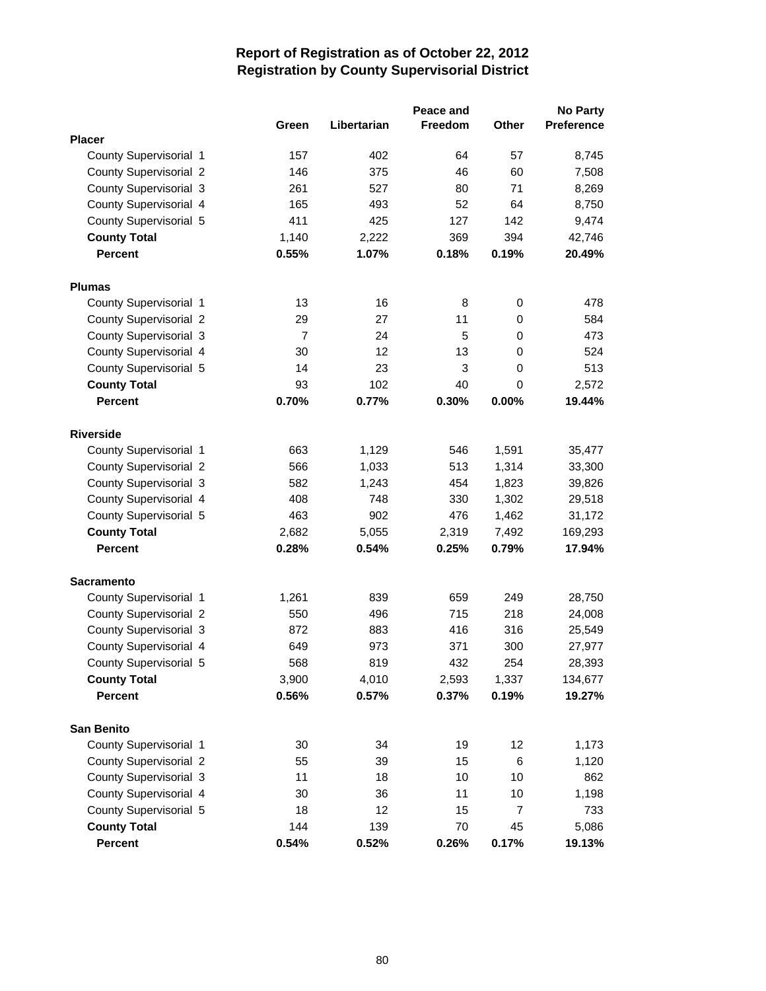|                               |                |             | Peace and |             | <b>No Party</b> |
|-------------------------------|----------------|-------------|-----------|-------------|-----------------|
|                               | Green          | Libertarian | Freedom   | Other       | Preference      |
| <b>Placer</b>                 |                |             |           |             |                 |
| County Supervisorial 1        | 157            | 402         | 64        | 57          | 8,745           |
| <b>County Supervisorial 2</b> | 146            | 375         | 46        | 60          | 7,508           |
| County Supervisorial 3        | 261            | 527         | 80        | 71          | 8,269           |
| County Supervisorial 4        | 165            | 493         | 52        | 64          | 8,750           |
| County Supervisorial 5        | 411            | 425         | 127       | 142         | 9,474           |
| <b>County Total</b>           | 1,140          | 2,222       | 369       | 394         | 42,746          |
| <b>Percent</b>                | 0.55%          | 1.07%       | 0.18%     | 0.19%       | 20.49%          |
| <b>Plumas</b>                 |                |             |           |             |                 |
| County Supervisorial 1        | 13             | 16          | 8         | 0           | 478             |
| <b>County Supervisorial 2</b> | 29             | 27          | 11        | $\mathbf 0$ | 584             |
| County Supervisorial 3        | $\overline{7}$ | 24          | 5         | $\mathbf 0$ | 473             |
| County Supervisorial 4        | 30             | 12          | 13        | 0           | 524             |
| County Supervisorial 5        | 14             | 23          | 3         | $\mathbf 0$ | 513             |
| <b>County Total</b>           | 93             | 102         | 40        | $\mathbf 0$ | 2,572           |
| <b>Percent</b>                | 0.70%          | 0.77%       | 0.30%     | 0.00%       | 19.44%          |
| <b>Riverside</b>              |                |             |           |             |                 |
| County Supervisorial 1        | 663            | 1,129       | 546       | 1,591       | 35,477          |
| County Supervisorial 2        | 566            | 1,033       | 513       | 1,314       | 33,300          |
| County Supervisorial 3        | 582            | 1,243       | 454       | 1,823       | 39,826          |
| County Supervisorial 4        | 408            | 748         | 330       | 1,302       | 29,518          |
| County Supervisorial 5        | 463            | 902         | 476       | 1,462       | 31,172          |
| <b>County Total</b>           | 2,682          | 5,055       | 2,319     | 7,492       | 169,293         |
| <b>Percent</b>                | 0.28%          | 0.54%       | 0.25%     | 0.79%       | 17.94%          |
| <b>Sacramento</b>             |                |             |           |             |                 |
| County Supervisorial 1        | 1,261          | 839         | 659       | 249         | 28,750          |
| County Supervisorial 2        | 550            | 496         | 715       | 218         | 24,008          |
| County Supervisorial 3        | 872            | 883         | 416       | 316         | 25,549          |
| County Supervisorial 4        | 649            | 973         | 371       | 300         | 27,977          |
| County Supervisorial 5        | 568            | 819         | 432       | 254         | 28,393          |
| <b>County Total</b>           | 3,900          | 4,010       | 2,593     | 1,337       | 134,677         |
| <b>Percent</b>                | 0.56%          | 0.57%       | 0.37%     | 0.19%       | 19.27%          |
| <b>San Benito</b>             |                |             |           |             |                 |
| County Supervisorial 1        | 30             | 34          | 19        | 12          | 1,173           |
| County Supervisorial 2        | 55             | 39          | 15        | 6           | 1,120           |
| County Supervisorial 3        | 11             | 18          | 10        | 10          | 862             |
| County Supervisorial 4        | 30             | 36          | 11        | 10          | 1,198           |
| County Supervisorial 5        | 18             | 12          | 15        | 7           | 733             |
| <b>County Total</b>           | 144            | 139         | 70        | 45          | 5,086           |
| Percent                       | 0.54%          | 0.52%       | 0.26%     | 0.17%       | 19.13%          |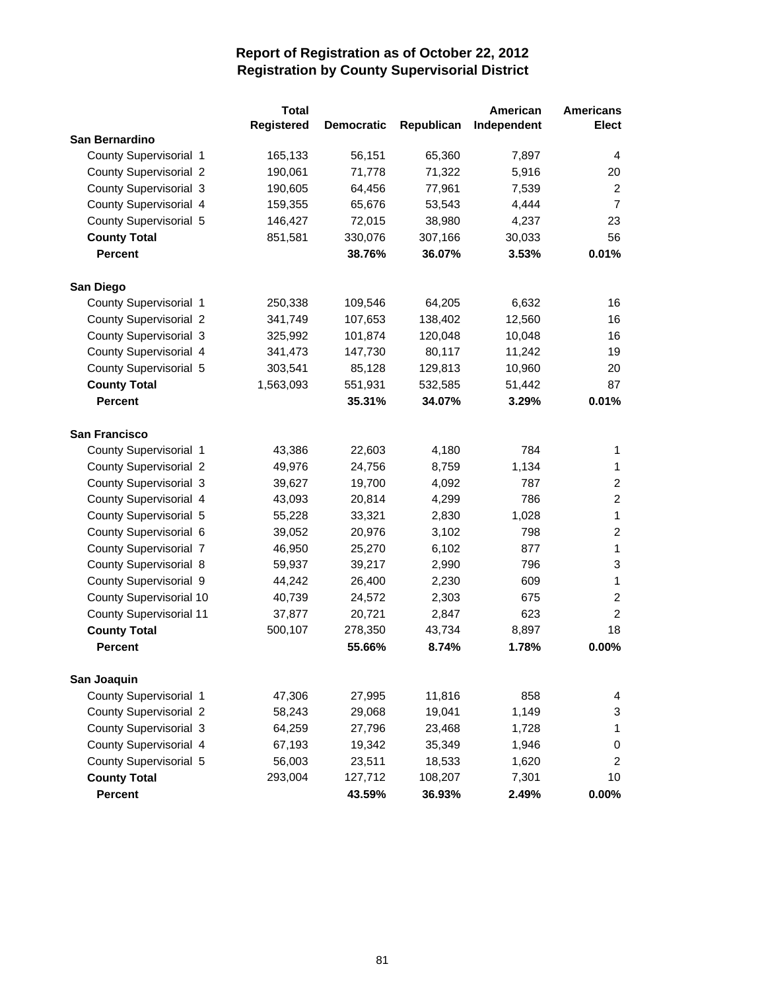|                                | <b>Total</b>      |                   |            | American    | <b>Americans</b> |
|--------------------------------|-------------------|-------------------|------------|-------------|------------------|
|                                | <b>Registered</b> | <b>Democratic</b> | Republican | Independent | Elect            |
| San Bernardino                 |                   |                   |            |             |                  |
| County Supervisorial 1         | 165,133           | 56,151            | 65,360     | 7,897       | 4                |
| <b>County Supervisorial 2</b>  | 190,061           | 71,778            | 71,322     | 5,916       | 20               |
| County Supervisorial 3         | 190,605           | 64,456            | 77,961     | 7,539       | $\overline{2}$   |
| County Supervisorial 4         | 159,355           | 65,676            | 53,543     | 4,444       | $\overline{7}$   |
| County Supervisorial 5         | 146,427           | 72,015            | 38,980     | 4,237       | 23               |
| <b>County Total</b>            | 851,581           | 330,076           | 307,166    | 30,033      | 56               |
| <b>Percent</b>                 |                   | 38.76%            | 36.07%     | 3.53%       | 0.01%            |
|                                |                   |                   |            |             |                  |
| San Diego                      |                   |                   |            |             |                  |
| County Supervisorial 1         | 250,338           | 109,546           | 64,205     | 6,632       | 16               |
| <b>County Supervisorial 2</b>  | 341,749           | 107,653           | 138,402    | 12,560      | 16               |
| County Supervisorial 3         | 325,992           | 101,874           | 120,048    | 10,048      | 16               |
| County Supervisorial 4         | 341,473           | 147,730           | 80,117     | 11,242      | 19               |
| County Supervisorial 5         | 303,541           | 85,128            | 129,813    | 10,960      | 20               |
| <b>County Total</b>            | 1,563,093         | 551,931           | 532,585    | 51,442      | 87               |
| <b>Percent</b>                 |                   | 35.31%            | 34.07%     | 3.29%       | 0.01%            |
|                                |                   |                   |            |             |                  |
| San Francisco                  |                   |                   |            |             |                  |
| County Supervisorial 1         | 43,386            | 22,603            | 4,180      | 784         | 1                |
| <b>County Supervisorial 2</b>  | 49,976            | 24,756            | 8,759      | 1,134       | 1                |
| County Supervisorial 3         | 39,627            | 19,700            | 4,092      | 787         | $\overline{c}$   |
| County Supervisorial 4         | 43,093            | 20,814            | 4,299      | 786         | $\overline{2}$   |
| County Supervisorial 5         | 55,228            | 33,321            | 2,830      | 1,028       | $\mathbf{1}$     |
| County Supervisorial 6         | 39,052            | 20,976            | 3,102      | 798         | $\overline{2}$   |
| County Supervisorial 7         | 46,950            | 25,270            | 6,102      | 877         | $\mathbf{1}$     |
| County Supervisorial 8         | 59,937            | 39,217            | 2,990      | 796         | 3                |
| County Supervisorial 9         | 44,242            | 26,400            | 2,230      | 609         | $\mathbf{1}$     |
| County Supervisorial 10        | 40,739            | 24,572            | 2,303      | 675         | $\overline{2}$   |
| <b>County Supervisorial 11</b> | 37,877            | 20,721            | 2,847      | 623         | $\overline{2}$   |
| <b>County Total</b>            | 500,107           | 278,350           | 43,734     | 8,897       | 18               |
| <b>Percent</b>                 |                   | 55.66%            | 8.74%      | 1.78%       | 0.00%            |
|                                |                   |                   |            |             |                  |
| San Joaquin                    |                   |                   |            |             |                  |
| County Supervisorial 1         | 47,306            | 27,995            | 11,816     | 858         | 4                |
| <b>County Supervisorial 2</b>  | 58,243            | 29,068            | 19,041     | 1,149       | 3                |
| County Supervisorial 3         | 64,259            | 27,796            | 23,468     | 1,728       | 1                |
| County Supervisorial 4         | 67,193            | 19,342            | 35,349     | 1,946       | 0                |
| County Supervisorial 5         | 56,003            | 23,511            | 18,533     | 1,620       | $\overline{c}$   |
| <b>County Total</b>            | 293,004           | 127,712           | 108,207    | 7,301       | 10               |
| Percent                        |                   | 43.59%            | 36.93%     | 2.49%       | $0.00\%$         |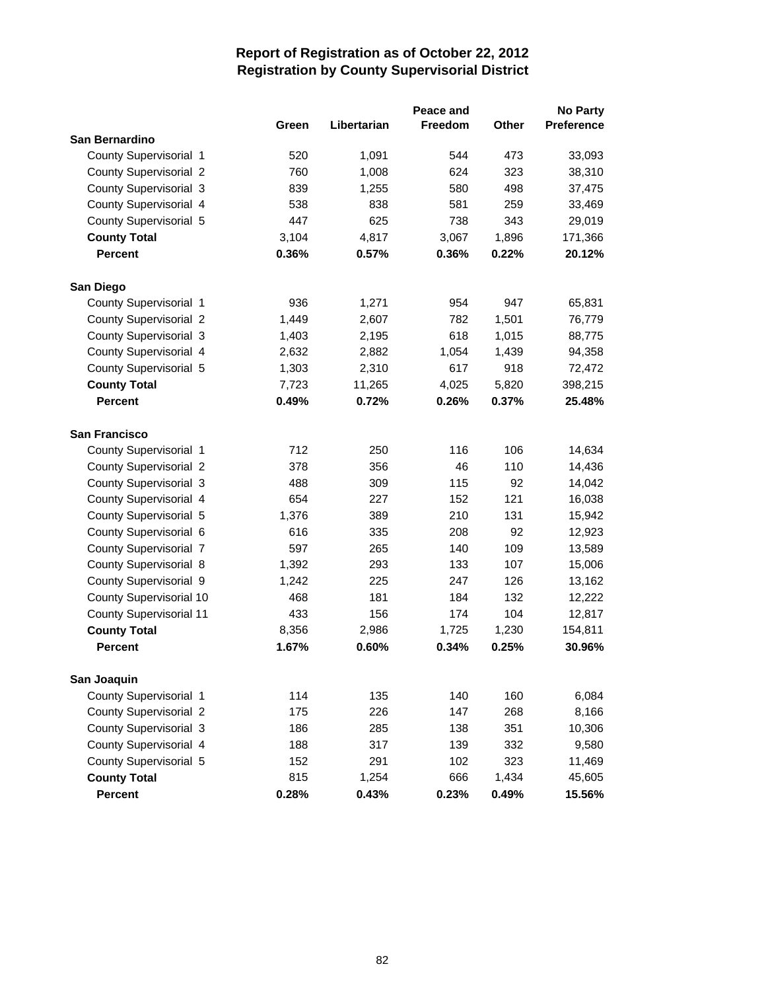|                                |       |             | Peace and      |       | <b>No Party</b> |
|--------------------------------|-------|-------------|----------------|-------|-----------------|
|                                | Green | Libertarian | <b>Freedom</b> | Other | Preference      |
| San Bernardino                 |       |             |                |       |                 |
| County Supervisorial 1         | 520   | 1,091       | 544            | 473   | 33,093          |
| <b>County Supervisorial 2</b>  | 760   | 1,008       | 624            | 323   | 38,310          |
| County Supervisorial 3         | 839   | 1,255       | 580            | 498   | 37,475          |
| County Supervisorial 4         | 538   | 838         | 581            | 259   | 33,469          |
| County Supervisorial 5         | 447   | 625         | 738            | 343   | 29,019          |
| <b>County Total</b>            | 3,104 | 4,817       | 3,067          | 1,896 | 171,366         |
| <b>Percent</b>                 | 0.36% | 0.57%       | 0.36%          | 0.22% | 20.12%          |
| San Diego                      |       |             |                |       |                 |
| County Supervisorial 1         | 936   | 1,271       | 954            | 947   | 65,831          |
| <b>County Supervisorial 2</b>  | 1,449 | 2,607       | 782            | 1,501 | 76,779          |
| County Supervisorial 3         | 1,403 | 2,195       | 618            | 1,015 | 88,775          |
| County Supervisorial 4         | 2,632 | 2,882       | 1,054          | 1,439 | 94,358          |
| County Supervisorial 5         | 1,303 | 2,310       | 617            | 918   | 72,472          |
| <b>County Total</b>            | 7,723 | 11,265      | 4,025          | 5,820 | 398,215         |
| <b>Percent</b>                 | 0.49% | 0.72%       | 0.26%          | 0.37% | 25.48%          |
|                                |       |             |                |       |                 |
| <b>San Francisco</b>           |       |             |                |       |                 |
| County Supervisorial 1         | 712   | 250         | 116            | 106   | 14,634          |
| <b>County Supervisorial 2</b>  | 378   | 356         | 46             | 110   | 14,436          |
| County Supervisorial 3         | 488   | 309         | 115            | 92    | 14,042          |
| County Supervisorial 4         | 654   | 227         | 152            | 121   | 16,038          |
| County Supervisorial 5         | 1,376 | 389         | 210            | 131   | 15,942          |
| County Supervisorial 6         | 616   | 335         | 208            | 92    | 12,923          |
| County Supervisorial 7         | 597   | 265         | 140            | 109   | 13,589          |
| County Supervisorial 8         | 1,392 | 293         | 133            | 107   | 15,006          |
| County Supervisorial 9         | 1,242 | 225         | 247            | 126   | 13,162          |
| County Supervisorial 10        | 468   | 181         | 184            | 132   | 12,222          |
| <b>County Supervisorial 11</b> | 433   | 156         | 174            | 104   | 12,817          |
| <b>County Total</b>            | 8,356 | 2,986       | 1,725          | 1,230 | 154,811         |
| <b>Percent</b>                 | 1.67% | 0.60%       | 0.34%          | 0.25% | 30.96%          |
| San Joaquin                    |       |             |                |       |                 |
| County Supervisorial 1         | 114   | 135         | 140            | 160   | 6,084           |
| County Supervisorial 2         | 175   | 226         | 147            | 268   | 8,166           |
| County Supervisorial 3         | 186   | 285         | 138            | 351   | 10,306          |
| County Supervisorial 4         | 188   | 317         | 139            | 332   | 9,580           |
| County Supervisorial 5         | 152   | 291         | 102            | 323   | 11,469          |
| <b>County Total</b>            | 815   | 1,254       | 666            | 1,434 | 45,605          |
| Percent                        | 0.28% | 0.43%       | 0.23%          | 0.49% | 15.56%          |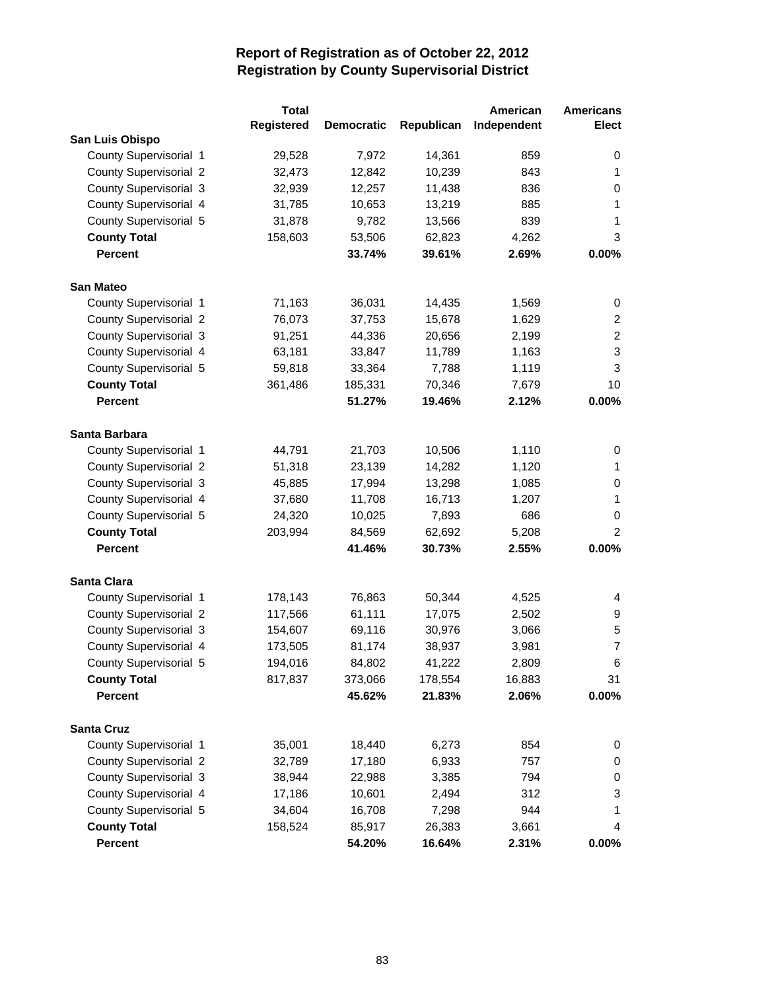|                               | <b>Total</b> |                   |            | American    | <b>Americans</b> |
|-------------------------------|--------------|-------------------|------------|-------------|------------------|
|                               | Registered   | <b>Democratic</b> | Republican | Independent | <b>Elect</b>     |
| San Luis Obispo               |              |                   |            |             |                  |
| County Supervisorial 1        | 29,528       | 7,972             | 14,361     | 859         | 0                |
| <b>County Supervisorial 2</b> | 32,473       | 12,842            | 10,239     | 843         | 1                |
| County Supervisorial 3        | 32,939       | 12,257            | 11,438     | 836         | 0                |
| County Supervisorial 4        | 31,785       | 10,653            | 13,219     | 885         | 1                |
| County Supervisorial 5        | 31,878       | 9,782             | 13,566     | 839         | 1                |
| <b>County Total</b>           | 158,603      | 53,506            | 62,823     | 4,262       | 3                |
| <b>Percent</b>                |              | 33.74%            | 39.61%     | 2.69%       | 0.00%            |
| <b>San Mateo</b>              |              |                   |            |             |                  |
| County Supervisorial 1        | 71,163       | 36,031            | 14,435     | 1,569       | 0                |
| <b>County Supervisorial 2</b> | 76,073       | 37,753            | 15,678     | 1,629       | $\overline{c}$   |
| County Supervisorial 3        | 91,251       | 44,336            | 20,656     | 2,199       | $\overline{2}$   |
| County Supervisorial 4        | 63,181       | 33,847            | 11,789     | 1,163       | 3                |
| County Supervisorial 5        | 59,818       | 33,364            | 7,788      | 1,119       | 3                |
| <b>County Total</b>           | 361,486      | 185,331           | 70,346     | 7,679       | 10               |
| <b>Percent</b>                |              | 51.27%            | 19.46%     | 2.12%       | $0.00\%$         |
| Santa Barbara                 |              |                   |            |             |                  |
| County Supervisorial 1        | 44,791       | 21,703            | 10,506     | 1,110       | 0                |
| County Supervisorial 2        | 51,318       | 23,139            | 14,282     | 1,120       | 1                |
| County Supervisorial 3        | 45,885       | 17,994            | 13,298     | 1,085       | 0                |
| County Supervisorial 4        | 37,680       | 11,708            | 16,713     | 1,207       | 1                |
| County Supervisorial 5        | 24,320       | 10,025            | 7,893      | 686         | 0                |
| <b>County Total</b>           | 203,994      | 84,569            | 62,692     | 5,208       | $\overline{2}$   |
| <b>Percent</b>                |              | 41.46%            | 30.73%     | 2.55%       | 0.00%            |
| <b>Santa Clara</b>            |              |                   |            |             |                  |
| County Supervisorial 1        | 178,143      | 76,863            | 50,344     | 4,525       | 4                |
| <b>County Supervisorial 2</b> | 117,566      | 61,111            | 17,075     | 2,502       | 9                |
| County Supervisorial 3        | 154,607      | 69,116            | 30,976     | 3,066       | 5                |
| County Supervisorial 4        | 173,505      | 81,174            | 38,937     | 3,981       | $\overline{7}$   |
| County Supervisorial 5        | 194,016      | 84,802            | 41,222     | 2,809       | 6                |
| <b>County Total</b>           | 817,837      | 373,066           | 178,554    | 16,883      | 31               |
| <b>Percent</b>                |              | 45.62%            | 21.83%     | 2.06%       | $0.00\%$         |
| <b>Santa Cruz</b>             |              |                   |            |             |                  |
| County Supervisorial 1        | 35,001       | 18,440            | 6,273      | 854         | 0                |
| <b>County Supervisorial 2</b> | 32,789       | 17,180            | 6,933      | 757         | 0                |
| County Supervisorial 3        | 38,944       | 22,988            | 3,385      | 794         | 0                |
| County Supervisorial 4        | 17,186       | 10,601            | 2,494      | 312         | 3                |
| County Supervisorial 5        | 34,604       | 16,708            | 7,298      | 944         | 1                |
| <b>County Total</b>           | 158,524      | 85,917            | 26,383     | 3,661       | 4                |
| Percent                       |              | 54.20%            | 16.64%     | 2.31%       | 0.00%            |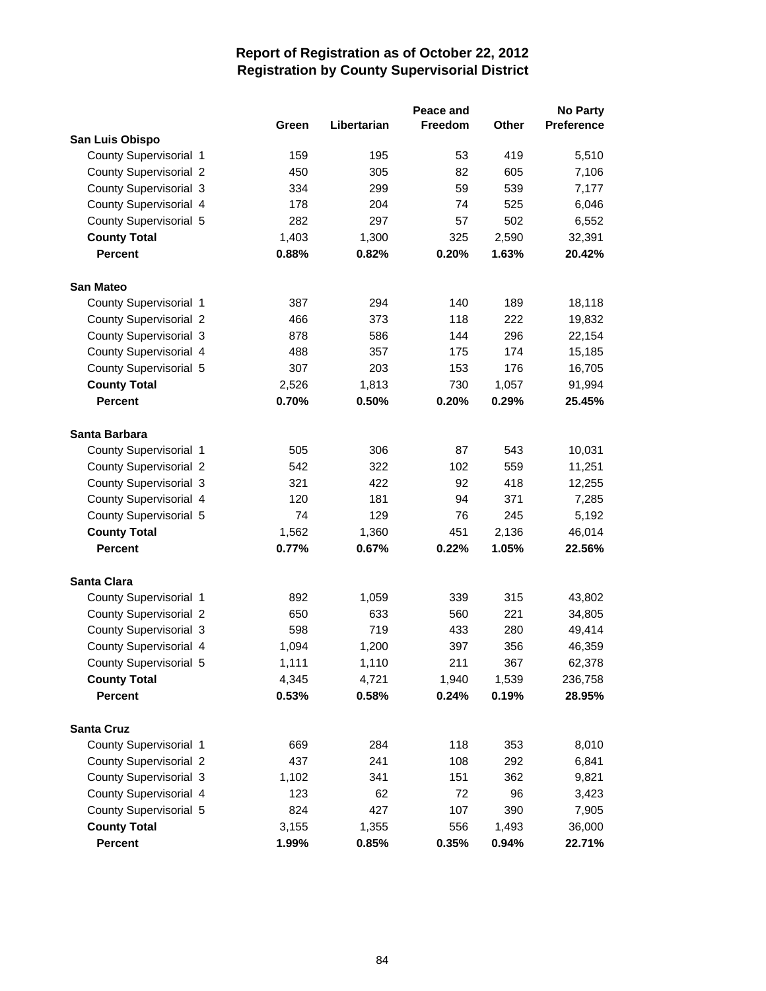|                               |       |             | Peace and |       | No Party   |
|-------------------------------|-------|-------------|-----------|-------|------------|
|                               | Green | Libertarian | Freedom   | Other | Preference |
| San Luis Obispo               |       |             |           |       |            |
| County Supervisorial 1        | 159   | 195         | 53        | 419   | 5,510      |
| <b>County Supervisorial 2</b> | 450   | 305         | 82        | 605   | 7,106      |
| County Supervisorial 3        | 334   | 299         | 59        | 539   | 7,177      |
| County Supervisorial 4        | 178   | 204         | 74        | 525   | 6,046      |
| County Supervisorial 5        | 282   | 297         | 57        | 502   | 6,552      |
| <b>County Total</b>           | 1,403 | 1,300       | 325       | 2,590 | 32,391     |
| <b>Percent</b>                | 0.88% | 0.82%       | 0.20%     | 1.63% | 20.42%     |
| <b>San Mateo</b>              |       |             |           |       |            |
| County Supervisorial 1        | 387   | 294         | 140       | 189   | 18,118     |
| <b>County Supervisorial 2</b> | 466   | 373         | 118       | 222   | 19,832     |
| County Supervisorial 3        | 878   | 586         | 144       | 296   | 22,154     |
| County Supervisorial 4        | 488   | 357         | 175       | 174   | 15,185     |
| County Supervisorial 5        | 307   | 203         | 153       | 176   | 16,705     |
| <b>County Total</b>           | 2,526 | 1,813       | 730       | 1,057 | 91,994     |
| <b>Percent</b>                | 0.70% | 0.50%       | 0.20%     | 0.29% | 25.45%     |
| Santa Barbara                 |       |             |           |       |            |
| County Supervisorial 1        | 505   | 306         | 87        | 543   | 10,031     |
| <b>County Supervisorial 2</b> | 542   | 322         | 102       | 559   | 11,251     |
| County Supervisorial 3        | 321   | 422         | 92        | 418   | 12,255     |
| County Supervisorial 4        | 120   | 181         | 94        | 371   | 7,285      |
| County Supervisorial 5        | 74    | 129         | 76        | 245   | 5,192      |
| <b>County Total</b>           | 1,562 | 1,360       | 451       | 2,136 | 46,014     |
| <b>Percent</b>                | 0.77% | 0.67%       | 0.22%     | 1.05% | 22.56%     |
| <b>Santa Clara</b>            |       |             |           |       |            |
| County Supervisorial 1        | 892   | 1,059       | 339       | 315   | 43,802     |
| County Supervisorial 2        | 650   | 633         | 560       | 221   | 34,805     |
| County Supervisorial 3        | 598   | 719         | 433       | 280   | 49,414     |
| County Supervisorial 4        | 1,094 | 1,200       | 397       | 356   | 46,359     |
| County Supervisorial 5        | 1,111 | 1,110       | 211       | 367   | 62,378     |
| <b>County Total</b>           | 4,345 | 4,721       | 1,940     | 1,539 | 236,758    |
| <b>Percent</b>                | 0.53% | 0.58%       | 0.24%     | 0.19% | 28.95%     |
| <b>Santa Cruz</b>             |       |             |           |       |            |
| County Supervisorial 1        | 669   | 284         | 118       | 353   | 8,010      |
| <b>County Supervisorial 2</b> | 437   | 241         | 108       | 292   | 6,841      |
| County Supervisorial 3        | 1,102 | 341         | 151       | 362   | 9,821      |
| County Supervisorial 4        | 123   | 62          | 72        | 96    | 3,423      |
| County Supervisorial 5        | 824   | 427         | 107       | 390   | 7,905      |
| <b>County Total</b>           | 3,155 | 1,355       | 556       | 1,493 | 36,000     |
| Percent                       | 1.99% | 0.85%       | 0.35%     | 0.94% | 22.71%     |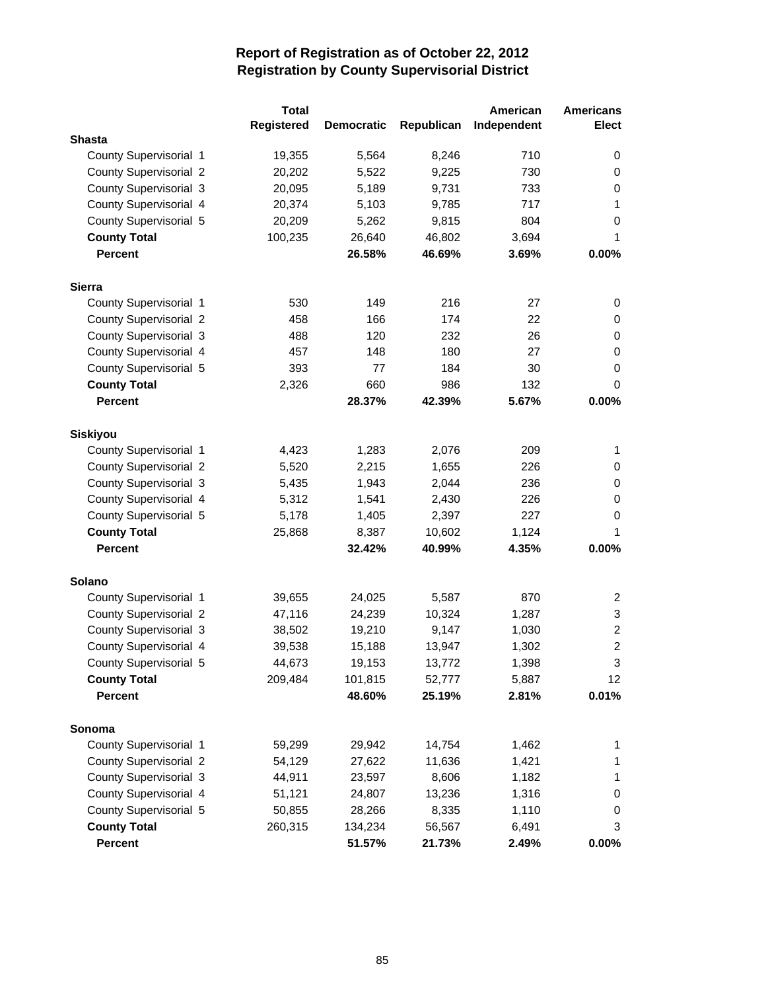|                               | <b>Total</b>      |                   |            | American    | <b>Americans</b> |
|-------------------------------|-------------------|-------------------|------------|-------------|------------------|
|                               | <b>Registered</b> | <b>Democratic</b> | Republican | Independent | <b>Elect</b>     |
| <b>Shasta</b>                 |                   |                   |            |             |                  |
| County Supervisorial 1        | 19,355            | 5,564             | 8,246      | 710         | 0                |
| <b>County Supervisorial 2</b> | 20,202            | 5,522             | 9,225      | 730         | 0                |
| County Supervisorial 3        | 20,095            | 5,189             | 9,731      | 733         | 0                |
| County Supervisorial 4        | 20,374            | 5,103             | 9,785      | 717         | 1                |
| County Supervisorial 5        | 20,209            | 5,262             | 9,815      | 804         | 0                |
| <b>County Total</b>           | 100,235           | 26,640            | 46,802     | 3,694       | 1                |
| <b>Percent</b>                |                   | 26.58%            | 46.69%     | 3.69%       | 0.00%            |
| <b>Sierra</b>                 |                   |                   |            |             |                  |
| County Supervisorial 1        | 530               | 149               | 216        | 27          | 0                |
| <b>County Supervisorial 2</b> | 458               | 166               | 174        | 22          | 0                |
| County Supervisorial 3        | 488               | 120               | 232        | 26          | 0                |
| County Supervisorial 4        | 457               | 148               | 180        | 27          | 0                |
| County Supervisorial 5        | 393               | 77                | 184        | 30          | 0                |
| <b>County Total</b>           | 2,326             | 660               | 986        | 132         | 0                |
| <b>Percent</b>                |                   | 28.37%            | 42.39%     | 5.67%       | 0.00%            |
| <b>Siskiyou</b>               |                   |                   |            |             |                  |
| County Supervisorial 1        | 4,423             | 1,283             | 2,076      | 209         | 1                |
| <b>County Supervisorial 2</b> | 5,520             | 2,215             | 1,655      | 226         | 0                |
| County Supervisorial 3        | 5,435             | 1,943             | 2,044      | 236         | 0                |
| County Supervisorial 4        | 5,312             | 1,541             | 2,430      | 226         | 0                |
| County Supervisorial 5        | 5,178             | 1,405             | 2,397      | 227         | 0                |
| <b>County Total</b>           | 25,868            | 8,387             | 10,602     | 1,124       | 1                |
| <b>Percent</b>                |                   | 32.42%            | 40.99%     | 4.35%       | 0.00%            |
|                               |                   |                   |            |             |                  |
| Solano                        |                   |                   |            |             |                  |
| County Supervisorial 1        | 39,655            | 24,025            | 5,587      | 870         | $\overline{2}$   |
| <b>County Supervisorial 2</b> | 47,116            | 24,239            | 10,324     | 1,287       | 3                |
| County Supervisorial 3        | 38,502            | 19,210            | 9,147      | 1,030       | $\overline{c}$   |
| County Supervisorial 4        | 39,538            | 15,188            | 13,947     | 1,302       | $\overline{2}$   |
| County Supervisorial 5        | 44,673            | 19,153            | 13,772     | 1,398       | 3                |
| <b>County Total</b>           | 209,484           | 101,815           | 52,777     | 5,887       | 12               |
| <b>Percent</b>                |                   | 48.60%            | 25.19%     | 2.81%       | 0.01%            |
| Sonoma                        |                   |                   |            |             |                  |
| County Supervisorial 1        | 59,299            | 29,942            | 14,754     | 1,462       | 1                |
| County Supervisorial 2        | 54,129            | 27,622            | 11,636     | 1,421       | 1                |
| County Supervisorial 3        | 44,911            | 23,597            | 8,606      | 1,182       | 1                |
| County Supervisorial 4        | 51,121            | 24,807            | 13,236     | 1,316       | 0                |
| County Supervisorial 5        | 50,855            | 28,266            | 8,335      | 1,110       | 0                |
| <b>County Total</b>           | 260,315           | 134,234           | 56,567     | 6,491       | 3                |
| Percent                       |                   | 51.57%            | 21.73%     | 2.49%       | 0.00%            |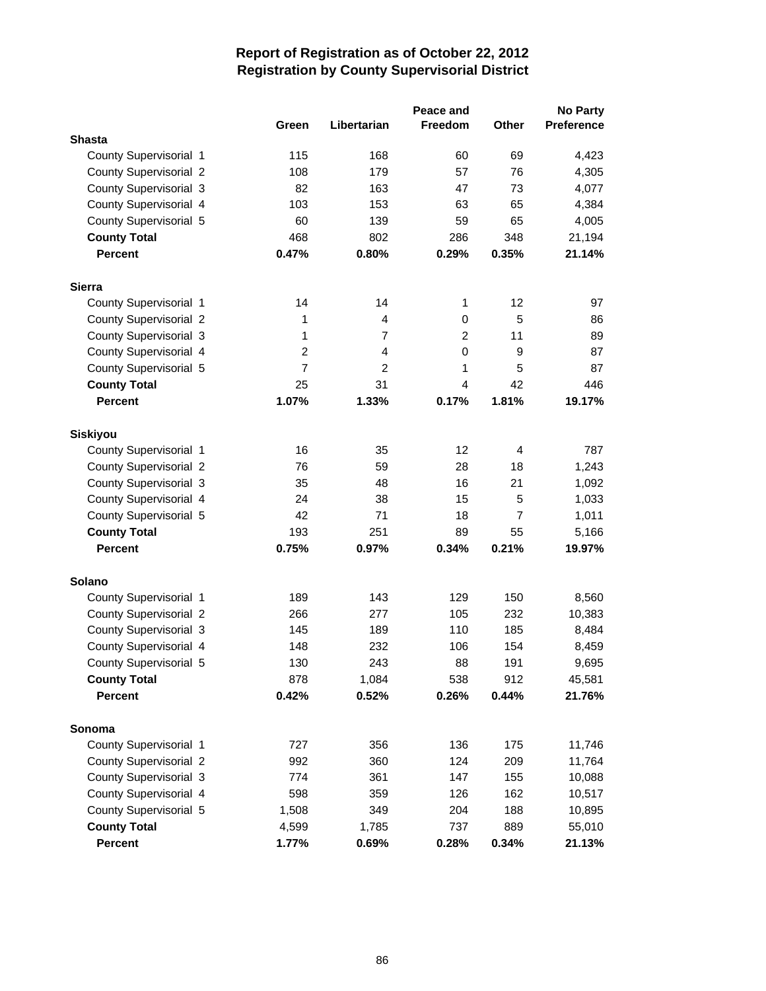|                               |                |                | Peace and      |                | <b>No Party</b>   |
|-------------------------------|----------------|----------------|----------------|----------------|-------------------|
|                               | Green          | Libertarian    | Freedom        | <b>Other</b>   | <b>Preference</b> |
| <b>Shasta</b>                 |                |                |                |                |                   |
| County Supervisorial 1        | 115            | 168            | 60             | 69             | 4,423             |
| County Supervisorial 2        | 108            | 179            | 57             | 76             | 4,305             |
| County Supervisorial 3        | 82             | 163            | 47             | 73             | 4,077             |
| County Supervisorial 4        | 103            | 153            | 63             | 65             | 4,384             |
| County Supervisorial 5        | 60             | 139            | 59             | 65             | 4,005             |
| <b>County Total</b>           | 468            | 802            | 286            | 348            | 21,194            |
| <b>Percent</b>                | 0.47%          | 0.80%          | 0.29%          | 0.35%          | 21.14%            |
| <b>Sierra</b>                 |                |                |                |                |                   |
| County Supervisorial 1        | 14             | 14             | 1              | 12             | 97                |
| <b>County Supervisorial 2</b> | 1              | $\overline{4}$ | $\mathbf 0$    | 5              | 86                |
| County Supervisorial 3        | 1              | 7              | 2              | 11             | 89                |
| County Supervisorial 4        | $\overline{c}$ | $\overline{4}$ | $\mathbf 0$    | 9              | 87                |
| County Supervisorial 5        | $\overline{7}$ | $\overline{2}$ | 1              | 5              | 87                |
| <b>County Total</b>           | 25             | 31             | $\overline{4}$ | 42             | 446               |
| <b>Percent</b>                | 1.07%          | 1.33%          | 0.17%          | 1.81%          | 19.17%            |
| Siskiyou                      |                |                |                |                |                   |
| County Supervisorial 1        | 16             | 35             | 12             | $\overline{4}$ | 787               |
| <b>County Supervisorial 2</b> | 76             | 59             | 28             | 18             | 1,243             |
| County Supervisorial 3        | 35             | 48             | 16             | 21             | 1,092             |
| County Supervisorial 4        | 24             | 38             | 15             | 5              | 1,033             |
| County Supervisorial 5        | 42             | 71             | 18             | $\overline{7}$ | 1,011             |
| <b>County Total</b>           | 193            | 251            | 89             | 55             | 5,166             |
| <b>Percent</b>                | 0.75%          | 0.97%          | 0.34%          | 0.21%          | 19.97%            |
| <b>Solano</b>                 |                |                |                |                |                   |
| County Supervisorial 1        | 189            | 143            | 129            | 150            | 8,560             |
| <b>County Supervisorial 2</b> | 266            | 277            | 105            | 232            | 10,383            |
| County Supervisorial 3        | 145            | 189            | 110            | 185            | 8,484             |
| County Supervisorial 4        | 148            | 232            | 106            | 154            | 8,459             |
| County Supervisorial 5        | 130            | 243            | 88             | 191            | 9,695             |
| <b>County Total</b>           | 878            | 1,084          | 538            | 912            | 45,581            |
| <b>Percent</b>                | 0.42%          | 0.52%          | 0.26%          | 0.44%          | 21.76%            |
| Sonoma                        |                |                |                |                |                   |
| County Supervisorial 1        | 727            | 356            | 136            | 175            | 11,746            |
| <b>County Supervisorial 2</b> | 992            | 360            | 124            | 209            | 11,764            |
| County Supervisorial 3        | 774            | 361            | 147            | 155            | 10,088            |
| County Supervisorial 4        | 598            | 359            | 126            | 162            | 10,517            |
| County Supervisorial 5        | 1,508          | 349            | 204            | 188            | 10,895            |
| <b>County Total</b>           | 4,599          | 1,785          | 737            | 889            | 55,010            |
| Percent                       | 1.77%          | 0.69%          | 0.28%          | 0.34%          | 21.13%            |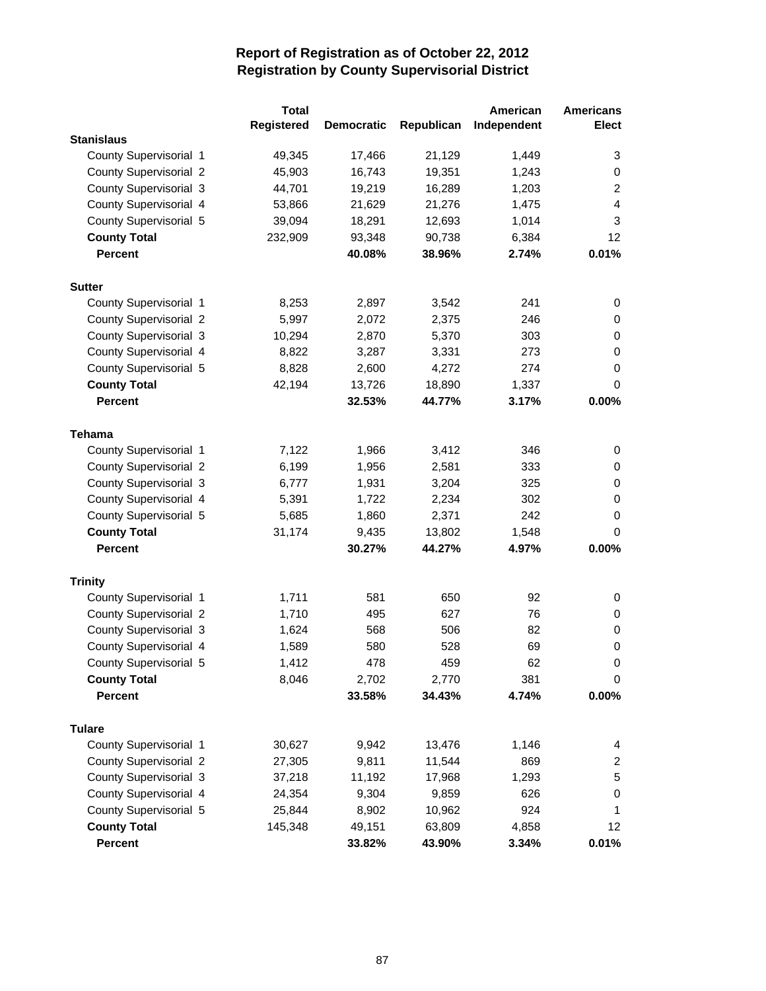|                               | <b>Total</b> |                   |            | American    | <b>Americans</b> |
|-------------------------------|--------------|-------------------|------------|-------------|------------------|
|                               | Registered   | <b>Democratic</b> | Republican | Independent | <b>Elect</b>     |
| <b>Stanislaus</b>             |              |                   |            |             |                  |
| County Supervisorial 1        | 49,345       | 17,466            | 21,129     | 1,449       | 3                |
| <b>County Supervisorial 2</b> | 45,903       | 16,743            | 19,351     | 1,243       | 0                |
| County Supervisorial 3        | 44,701       | 19,219            | 16,289     | 1,203       | $\overline{2}$   |
| County Supervisorial 4        | 53,866       | 21,629            | 21,276     | 1,475       | $\overline{4}$   |
| County Supervisorial 5        | 39,094       | 18,291            | 12,693     | 1,014       | 3                |
| <b>County Total</b>           | 232,909      | 93,348            | 90,738     | 6,384       | 12               |
| <b>Percent</b>                |              | 40.08%            | 38.96%     | 2.74%       | 0.01%            |
| <b>Sutter</b>                 |              |                   |            |             |                  |
| County Supervisorial 1        | 8,253        | 2,897             | 3,542      | 241         | 0                |
| <b>County Supervisorial 2</b> | 5,997        | 2,072             | 2,375      | 246         | 0                |
| County Supervisorial 3        | 10,294       | 2,870             | 5,370      | 303         | 0                |
| County Supervisorial 4        | 8,822        | 3,287             | 3,331      | 273         | 0                |
| County Supervisorial 5        | 8,828        | 2,600             | 4,272      | 274         | 0                |
| <b>County Total</b>           | 42,194       | 13,726            | 18,890     | 1,337       | 0                |
| <b>Percent</b>                |              | 32.53%            | 44.77%     | 3.17%       | 0.00%            |
|                               |              |                   |            |             |                  |
| <b>Tehama</b>                 |              |                   |            |             |                  |
| County Supervisorial 1        | 7,122        | 1,966             | 3,412      | 346         | 0                |
| <b>County Supervisorial 2</b> | 6,199        | 1,956             | 2,581      | 333         | 0                |
| County Supervisorial 3        | 6,777        | 1,931             | 3,204      | 325         | 0                |
| County Supervisorial 4        | 5,391        | 1,722             | 2,234      | 302         | 0                |
| County Supervisorial 5        | 5,685        | 1,860             | 2,371      | 242         | 0                |
| <b>County Total</b>           | 31,174       | 9,435             | 13,802     | 1,548       | 0                |
| <b>Percent</b>                |              | 30.27%            | 44.27%     | 4.97%       | $0.00\%$         |
| <b>Trinity</b>                |              |                   |            |             |                  |
| County Supervisorial 1        | 1,711        | 581               | 650        | 92          | 0                |
| County Supervisorial 2        | 1,710        | 495               | 627        | 76          | 0                |
| County Supervisorial 3        | 1,624        | 568               | 506        | 82          | 0                |
| County Supervisorial 4        | 1,589        | 580               | 528        | 69          | 0                |
| County Supervisorial 5        | 1,412        | 478               | 459        | 62          | 0                |
| <b>County Total</b>           | 8,046        | 2,702             | 2,770      | 381         | 0                |
| <b>Percent</b>                |              | 33.58%            | 34.43%     | 4.74%       | 0.00%            |
| <b>Tulare</b>                 |              |                   |            |             |                  |
| County Supervisorial 1        | 30,627       | 9,942             | 13,476     | 1,146       | 4                |
| <b>County Supervisorial 2</b> | 27,305       | 9,811             | 11,544     | 869         | 2                |
| County Supervisorial 3        | 37,218       | 11,192            | 17,968     | 1,293       | 5                |
| County Supervisorial 4        | 24,354       | 9,304             | 9,859      | 626         | 0                |
| County Supervisorial 5        | 25,844       | 8,902             | 10,962     | 924         | 1                |
| <b>County Total</b>           | 145,348      | 49,151            | 63,809     | 4,858       | 12               |
| Percent                       |              | 33.82%            | 43.90%     | 3.34%       | 0.01%            |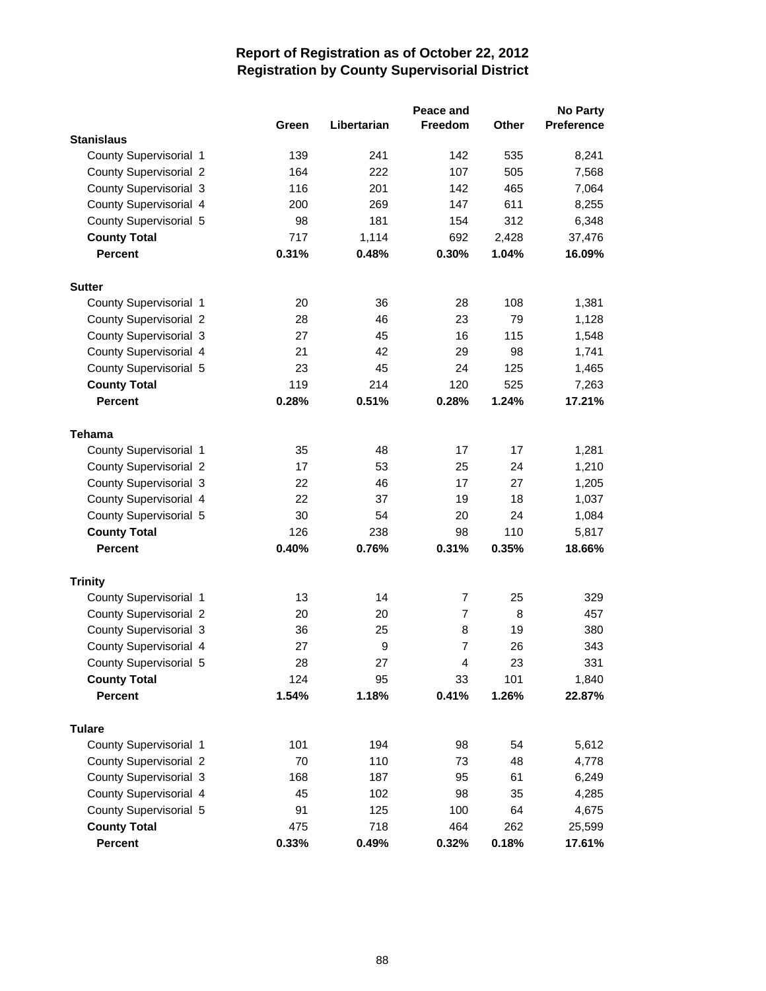|                               |       |             | Peace and      |       | <b>No Party</b>   |
|-------------------------------|-------|-------------|----------------|-------|-------------------|
|                               | Green | Libertarian | Freedom        | Other | <b>Preference</b> |
| <b>Stanislaus</b>             |       |             |                |       |                   |
| County Supervisorial 1        | 139   | 241         | 142            | 535   | 8,241             |
| <b>County Supervisorial 2</b> | 164   | 222         | 107            | 505   | 7,568             |
| County Supervisorial 3        | 116   | 201         | 142            | 465   | 7,064             |
| County Supervisorial 4        | 200   | 269         | 147            | 611   | 8,255             |
| County Supervisorial 5        | 98    | 181         | 154            | 312   | 6,348             |
| <b>County Total</b>           | 717   | 1,114       | 692            | 2,428 | 37,476            |
| <b>Percent</b>                | 0.31% | 0.48%       | 0.30%          | 1.04% | 16.09%            |
| <b>Sutter</b>                 |       |             |                |       |                   |
| County Supervisorial 1        | 20    | 36          | 28             | 108   | 1,381             |
| <b>County Supervisorial 2</b> | 28    | 46          | 23             | 79    | 1,128             |
| County Supervisorial 3        | 27    | 45          | 16             | 115   | 1,548             |
| County Supervisorial 4        | 21    | 42          | 29             | 98    | 1,741             |
| County Supervisorial 5        | 23    | 45          | 24             | 125   | 1,465             |
| <b>County Total</b>           | 119   | 214         | 120            | 525   | 7,263             |
| <b>Percent</b>                | 0.28% | 0.51%       | 0.28%          | 1.24% | 17.21%            |
| Tehama                        |       |             |                |       |                   |
| County Supervisorial 1        | 35    | 48          | 17             | 17    | 1,281             |
| <b>County Supervisorial 2</b> | 17    | 53          | 25             | 24    | 1,210             |
| County Supervisorial 3        | 22    | 46          | 17             | 27    | 1,205             |
| County Supervisorial 4        | 22    | 37          | 19             | 18    | 1,037             |
| County Supervisorial 5        | 30    | 54          | 20             | 24    | 1,084             |
| <b>County Total</b>           | 126   | 238         | 98             | 110   | 5,817             |
| <b>Percent</b>                | 0.40% | 0.76%       | 0.31%          | 0.35% | 18.66%            |
| <b>Trinity</b>                |       |             |                |       |                   |
| County Supervisorial 1        | 13    | 14          | 7              | 25    | 329               |
| County Supervisorial 2        | 20    | 20          | $\overline{7}$ | 8     | 457               |
| County Supervisorial 3        | 36    | 25          | 8              | 19    | 380               |
| County Supervisorial 4        | 27    | 9           | $\overline{7}$ | 26    | 343               |
| County Supervisorial 5        | 28    | 27          | 4              | 23    | 331               |
| <b>County Total</b>           | 124   | 95          | 33             | 101   | 1,840             |
| <b>Percent</b>                | 1.54% | 1.18%       | 0.41%          | 1.26% | 22.87%            |
| <b>Tulare</b>                 |       |             |                |       |                   |
| County Supervisorial 1        | 101   | 194         | 98             | 54    | 5,612             |
| <b>County Supervisorial 2</b> | 70    | 110         | 73             | 48    | 4,778             |
| County Supervisorial 3        | 168   | 187         | 95             | 61    | 6,249             |
| County Supervisorial 4        | 45    | 102         | 98             | 35    | 4,285             |
| County Supervisorial 5        | 91    | 125         | 100            | 64    | 4,675             |
| <b>County Total</b>           | 475   | 718         | 464            | 262   | 25,599            |
| Percent                       | 0.33% | 0.49%       | 0.32%          | 0.18% | 17.61%            |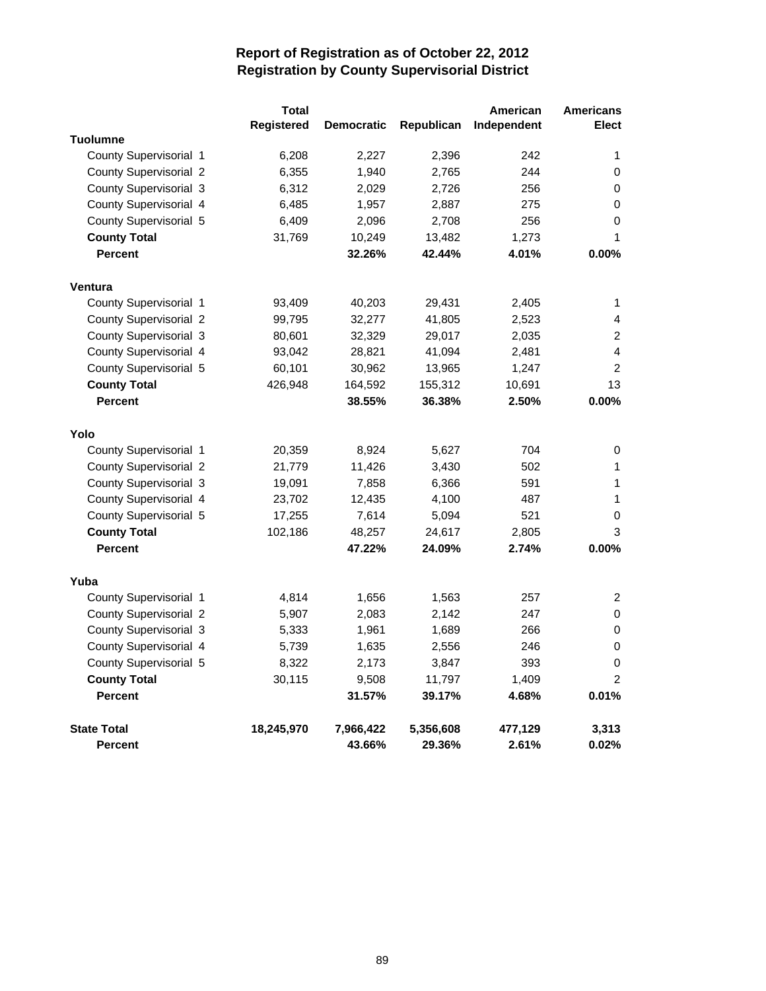|                               | Total             |                   |            | American    | <b>Americans</b> |
|-------------------------------|-------------------|-------------------|------------|-------------|------------------|
|                               | <b>Registered</b> | <b>Democratic</b> | Republican | Independent | <b>Elect</b>     |
| <b>Tuolumne</b>               |                   |                   |            |             |                  |
| County Supervisorial 1        | 6,208             | 2,227             | 2,396      | 242         | 1                |
| <b>County Supervisorial 2</b> | 6,355             | 1,940             | 2,765      | 244         | 0                |
| County Supervisorial 3        | 6,312             | 2,029             | 2,726      | 256         | 0                |
| County Supervisorial 4        | 6,485             | 1,957             | 2,887      | 275         | 0                |
| County Supervisorial 5        | 6,409             | 2,096             | 2,708      | 256         | 0                |
| <b>County Total</b>           | 31,769            | 10,249            | 13,482     | 1,273       | 1                |
| <b>Percent</b>                |                   | 32.26%            | 42.44%     | 4.01%       | 0.00%            |
| Ventura                       |                   |                   |            |             |                  |
| County Supervisorial 1        | 93,409            | 40,203            | 29,431     | 2,405       | 1                |
| <b>County Supervisorial 2</b> | 99,795            | 32,277            | 41,805     | 2,523       | 4                |
| County Supervisorial 3        | 80,601            | 32,329            | 29,017     | 2,035       | $\overline{2}$   |
| County Supervisorial 4        | 93,042            | 28,821            | 41,094     | 2,481       | 4                |
| County Supervisorial 5        | 60,101            | 30,962            | 13,965     | 1,247       | $\overline{c}$   |
| <b>County Total</b>           | 426,948           | 164,592           | 155,312    | 10,691      | 13               |
| <b>Percent</b>                |                   | 38.55%            | 36.38%     | 2.50%       | 0.00%            |
|                               |                   |                   |            |             |                  |
| Yolo                          |                   |                   |            |             |                  |
| County Supervisorial 1        | 20,359            | 8,924             | 5,627      | 704         | 0                |
| <b>County Supervisorial 2</b> | 21,779            | 11,426            | 3,430      | 502         | 1                |
| County Supervisorial 3        | 19,091            | 7,858             | 6,366      | 591         | 1                |
| County Supervisorial 4        | 23,702            | 12,435            | 4,100      | 487         | 1                |
| County Supervisorial 5        | 17,255            | 7,614             | 5,094      | 521         | 0                |
| <b>County Total</b>           | 102,186           | 48,257            | 24,617     | 2,805       | 3                |
| <b>Percent</b>                |                   | 47.22%            | 24.09%     | 2.74%       | 0.00%            |
| Yuba                          |                   |                   |            |             |                  |
| County Supervisorial 1        | 4,814             | 1,656             | 1,563      | 257         | 2                |
| <b>County Supervisorial 2</b> | 5,907             | 2,083             | 2,142      | 247         | 0                |
| County Supervisorial 3        | 5,333             | 1,961             | 1,689      | 266         | 0                |
| County Supervisorial 4        | 5,739             | 1,635             | 2,556      | 246         | 0                |
| County Supervisorial 5        | 8,322             | 2,173             | 3,847      | 393         | $\mathsf 0$      |
| <b>County Total</b>           | 30,115            | 9,508             | 11,797     | 1,409       | $\overline{2}$   |
| <b>Percent</b>                |                   | 31.57%            | 39.17%     | 4.68%       | 0.01%            |
| <b>State Total</b>            | 18,245,970        | 7,966,422         | 5,356,608  | 477,129     | 3,313            |
| <b>Percent</b>                |                   | 43.66%            | 29.36%     | 2.61%       | 0.02%            |